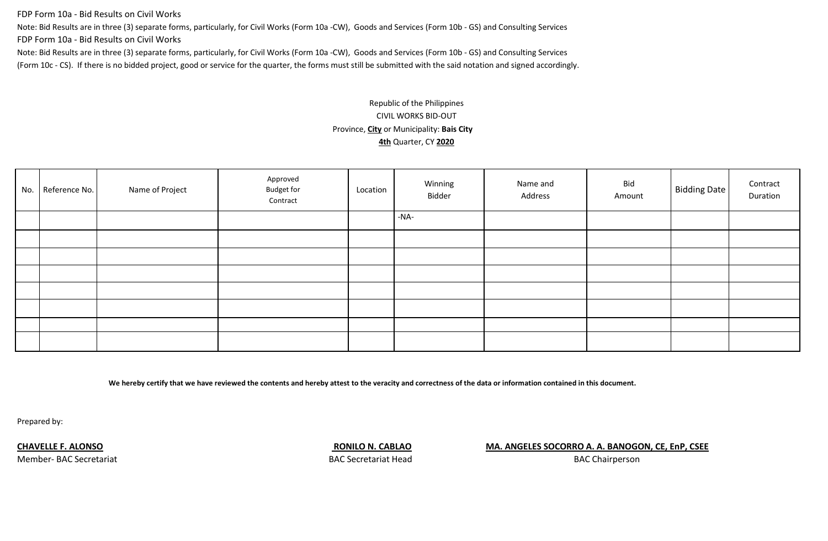FDP Form 10a - Bid Results on Civil Works

Note: Bid Results are in three (3) separate forms, particularly, for Civil Works (Form 10a -CW), Goods and Services (Form 10b - GS) and Consulting Services

FDP Form 10a - Bid Results on Civil Works

Note: Bid Results are in three (3) separate forms, particularly, for Civil Works (Form 10a -CW), Goods and Services (Form 10b - GS) and Consulting Services (Form 10c - CS). If there is no bidded project, good or service for the quarter, the forms must still be submitted with the said notation and signed accordingly.

# Republic of the Philippines CIVIL WORKS BID-OUT Province, **City** or Municipality: **Bais City 4th** Quarter, CY **2020**

| No. Reference No. | Name of Project | Approved<br><b>Budget for</b><br>Contract | Location | Winning<br>Bidder | Name and<br>Address | Bid<br>Amount | <b>Bidding Date</b> | Contract<br>Duration |
|-------------------|-----------------|-------------------------------------------|----------|-------------------|---------------------|---------------|---------------------|----------------------|
|                   |                 |                                           |          | -NA-              |                     |               |                     |                      |
|                   |                 |                                           |          |                   |                     |               |                     |                      |
|                   |                 |                                           |          |                   |                     |               |                     |                      |
|                   |                 |                                           |          |                   |                     |               |                     |                      |
|                   |                 |                                           |          |                   |                     |               |                     |                      |
|                   |                 |                                           |          |                   |                     |               |                     |                      |
|                   |                 |                                           |          |                   |                     |               |                     |                      |
|                   |                 |                                           |          |                   |                     |               |                     |                      |

**We hereby certify that we have reviewed the contents and hereby attest to the veracity and correctness of the data or information contained in this document.**

Prepared by:

#### **CHAVELLE F. ALONSO CHAVELLE F. ALONSO RONILO N. CABLAO MA. ANGELES SOCORRO A. A. BANOGON, CE, EnP, CSEE**

Member- BAC Secretariat BAC Secretariat Head

BAC Chairperson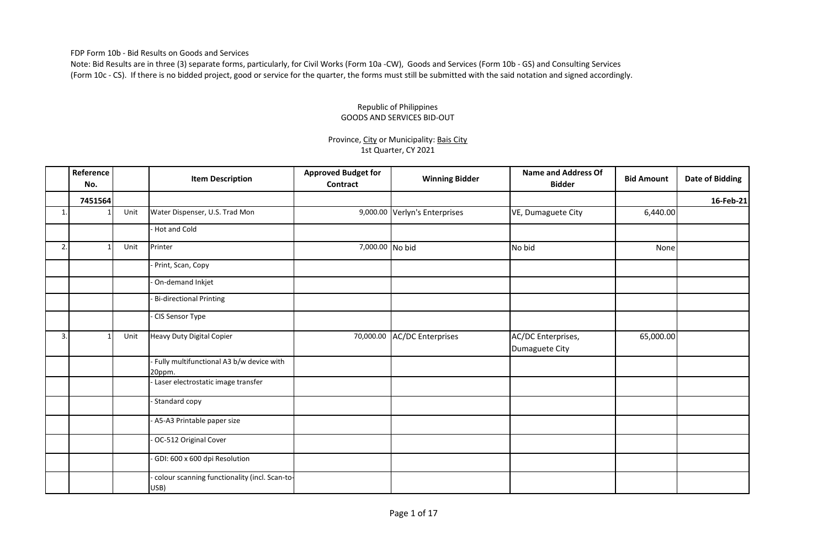FDP Form 10b - Bid Results on Goods and Services

Note: Bid Results are in three (3) separate forms, particularly, for Civil Works (Form 10a -CW), Goods and Services (Form 10b - GS) and Consulting Services (Form 10c - CS). If there is no bidded project, good or service for the quarter, the forms must still be submitted with the said notation and signed accordingly.

### Republic of Philippines GOODS AND SERVICES BID-OUT

### Province, City or Municipality: Bais City 1st Quarter, CY 2021

|    | Reference<br>No. |      | <b>Item Description</b>                               | <b>Approved Budget for</b><br>Contract | <b>Winning Bidder</b>         | <b>Name and Address Of</b><br><b>Bidder</b> | <b>Bid Amount</b> | <b>Date of Bidding</b> |
|----|------------------|------|-------------------------------------------------------|----------------------------------------|-------------------------------|---------------------------------------------|-------------------|------------------------|
|    | 7451564          |      |                                                       |                                        |                               |                                             |                   | 16-Feb-21              |
|    |                  | Unit | Water Dispenser, U.S. Trad Mon                        |                                        | 9,000.00 Verlyn's Enterprises | VE, Dumaguete City                          | 6,440.00          |                        |
|    |                  |      | - Hot and Cold                                        |                                        |                               |                                             |                   |                        |
| 2. | -1               | Unit | Printer                                               | 7,000.00 No bid                        |                               | No bid                                      | None              |                        |
|    |                  |      | Print, Scan, Copy                                     |                                        |                               |                                             |                   |                        |
|    |                  |      | On-demand Inkjet                                      |                                        |                               |                                             |                   |                        |
|    |                  |      | <b>Bi-directional Printing</b>                        |                                        |                               |                                             |                   |                        |
|    |                  |      | CIS Sensor Type                                       |                                        |                               |                                             |                   |                        |
| 3. |                  | Unit | <b>Heavy Duty Digital Copier</b>                      | 70,000.00                              | <b>AC/DC Enterprises</b>      | AC/DC Enterprises,<br>Dumaguete City        | 65,000.00         |                        |
|    |                  |      | Fully multifunctional A3 b/w device with<br>20ppm.    |                                        |                               |                                             |                   |                        |
|    |                  |      | Laser electrostatic image transfer                    |                                        |                               |                                             |                   |                        |
|    |                  |      | Standard copy                                         |                                        |                               |                                             |                   |                        |
|    |                  |      | A5-A3 Printable paper size                            |                                        |                               |                                             |                   |                        |
|    |                  |      | OC-512 Original Cover                                 |                                        |                               |                                             |                   |                        |
|    |                  |      | GDI: 600 x 600 dpi Resolution                         |                                        |                               |                                             |                   |                        |
|    |                  |      | colour scanning functionality (incl. Scan-to-<br>USB) |                                        |                               |                                             |                   |                        |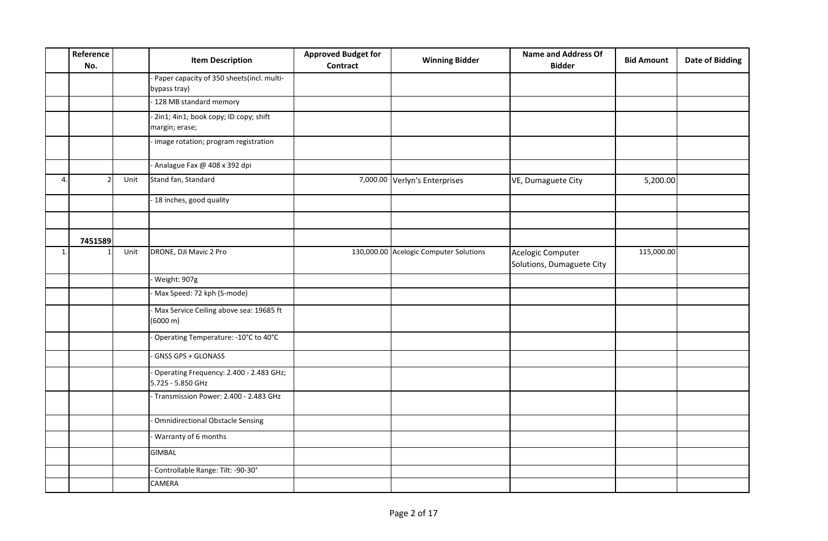|    | Reference<br>No. |      | <b>Item Description</b>                                      | <b>Approved Budget for</b><br>Contract | <b>Winning Bidder</b>                  | <b>Name and Address Of</b><br><b>Bidder</b>    | <b>Bid Amount</b> | <b>Date of Bidding</b> |
|----|------------------|------|--------------------------------------------------------------|----------------------------------------|----------------------------------------|------------------------------------------------|-------------------|------------------------|
|    |                  |      | Paper capacity of 350 sheets(incl. multi-<br>bypass tray)    |                                        |                                        |                                                |                   |                        |
|    |                  |      | 128 MB standard memory                                       |                                        |                                        |                                                |                   |                        |
|    |                  |      | 2in1; 4in1; book copy; ID copy; shift<br>margin; erase;      |                                        |                                        |                                                |                   |                        |
|    |                  |      | image rotation; program registration                         |                                        |                                        |                                                |                   |                        |
|    |                  |      | Analague Fax @ 408 x 392 dpi                                 |                                        |                                        |                                                |                   |                        |
| 4. |                  | Unit | Stand fan, Standard                                          |                                        | 7,000.00 Verlyn's Enterprises          | VE, Dumaguete City                             | 5,200.00          |                        |
|    |                  |      | 18 inches, good quality                                      |                                        |                                        |                                                |                   |                        |
|    |                  |      |                                                              |                                        |                                        |                                                |                   |                        |
|    | 7451589          |      |                                                              |                                        |                                        |                                                |                   |                        |
| 1. |                  | Unit | DRONE, DJI Mavic 2 Pro                                       |                                        | 130,000.00 Acelogic Computer Solutions | Acelogic Computer<br>Solutions, Dumaguete City | 115,000.00        |                        |
|    |                  |      | Weight: 907g                                                 |                                        |                                        |                                                |                   |                        |
|    |                  |      | Max Speed: 72 kph (S-mode)                                   |                                        |                                        |                                                |                   |                        |
|    |                  |      | Max Service Ceiling above sea: 19685 ft<br>(6000 m)          |                                        |                                        |                                                |                   |                        |
|    |                  |      | Operating Temperature: -10°C to 40°C                         |                                        |                                        |                                                |                   |                        |
|    |                  |      | GNSS GPS + GLONASS                                           |                                        |                                        |                                                |                   |                        |
|    |                  |      | Operating Frequency: 2.400 - 2.483 GHz;<br>5.725 - 5.850 GHz |                                        |                                        |                                                |                   |                        |
|    |                  |      | Transmission Power: 2.400 - 2.483 GHz                        |                                        |                                        |                                                |                   |                        |
|    |                  |      | Omnidirectional Obstacle Sensing                             |                                        |                                        |                                                |                   |                        |
|    |                  |      | Warranty of 6 months                                         |                                        |                                        |                                                |                   |                        |
|    |                  |      | <b>GIMBAL</b>                                                |                                        |                                        |                                                |                   |                        |
|    |                  |      | Controllable Range: Tilt: -90-30°                            |                                        |                                        |                                                |                   |                        |
|    |                  |      | CAMERA                                                       |                                        |                                        |                                                |                   |                        |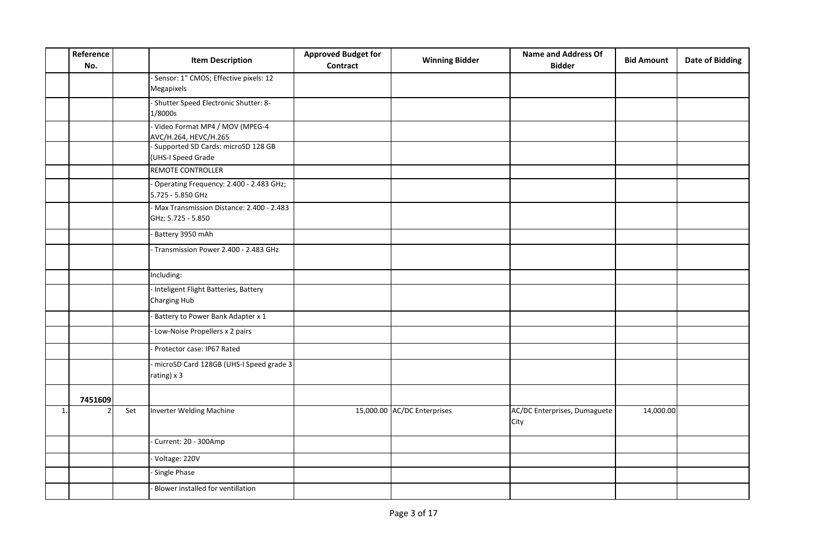| Reference<br>No. |         | <b>Item Description</b>                                          | <b>Approved Budget for</b><br>Contract | <b>Winning Bidder</b>       | <b>Name and Address Of</b><br><b>Bidder</b> | <b>Bid Amount</b> | <b>Date of Bidding</b> |
|------------------|---------|------------------------------------------------------------------|----------------------------------------|-----------------------------|---------------------------------------------|-------------------|------------------------|
|                  |         | Sensor: 1" CMOS; Effective pixels: 12<br>Megapixels              |                                        |                             |                                             |                   |                        |
|                  |         | - Shutter Speed Electronic Shutter: 8-<br>1/8000s                |                                        |                             |                                             |                   |                        |
|                  |         | Video Format MP4 / MOV (MPEG-4<br>AVC/H.264, HEVC/H.265          |                                        |                             |                                             |                   |                        |
|                  |         | - Supported SD Cards: microSD 128 GB<br>(UHS-I Speed Grade       |                                        |                             |                                             |                   |                        |
|                  |         | REMOTE CONTROLLER                                                |                                        |                             |                                             |                   |                        |
|                  |         | Operating Frequency: 2.400 - 2.483 GHz;<br>5.725 - 5.850 GHz     |                                        |                             |                                             |                   |                        |
|                  |         | - Max Transmission Distance: 2.400 - 2.483<br>GHz; 5.725 - 5.850 |                                        |                             |                                             |                   |                        |
|                  |         | Battery 3950 mAh                                                 |                                        |                             |                                             |                   |                        |
|                  |         | Transmission Power 2.400 - 2.483 GHz                             |                                        |                             |                                             |                   |                        |
|                  |         | Including:                                                       |                                        |                             |                                             |                   |                        |
|                  |         | - Inteligent Flight Batteries, Battery<br>Charging Hub           |                                        |                             |                                             |                   |                        |
|                  |         | Battery to Power Bank Adapter x 1                                |                                        |                             |                                             |                   |                        |
|                  |         | Low-Noise Propellers x 2 pairs                                   |                                        |                             |                                             |                   |                        |
|                  |         | Protector case: IP67 Rated                                       |                                        |                             |                                             |                   |                        |
|                  |         | microSD Card 128GB (UHS-I Speed grade 3<br>rating) x 3           |                                        |                             |                                             |                   |                        |
|                  | 7451609 |                                                                  |                                        |                             |                                             |                   |                        |
| 1.               | Set     | Inverter Welding Machine                                         |                                        | 15,000.00 AC/DC Enterprises | AC/DC Enterprises, Dumaguete<br>City        | 14,000.00         |                        |
|                  |         | Current: 20 - 300Amp                                             |                                        |                             |                                             |                   |                        |
|                  |         | Voltage: 220V                                                    |                                        |                             |                                             |                   |                        |
|                  |         | Single Phase                                                     |                                        |                             |                                             |                   |                        |
|                  |         | Blower installed for ventillation                                |                                        |                             |                                             |                   |                        |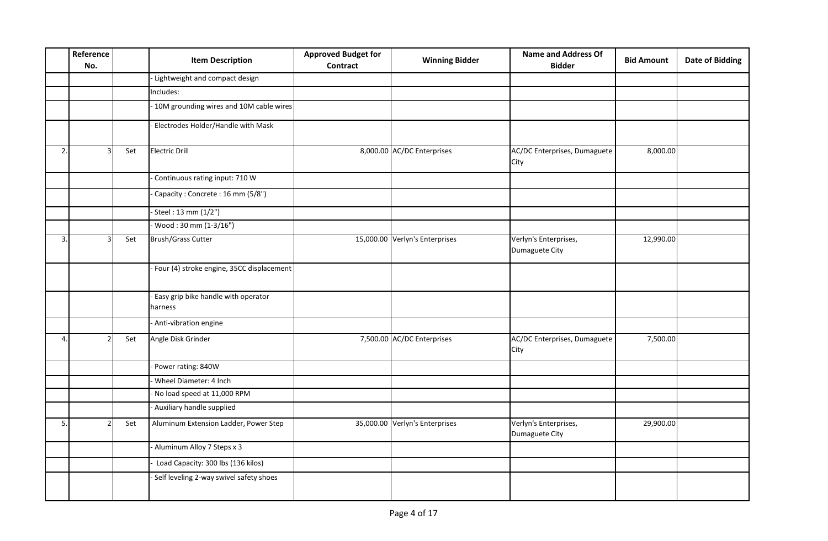|    | Reference<br>No. |     | <b>Item Description</b>                        | <b>Approved Budget for</b><br><b>Contract</b> | <b>Winning Bidder</b>          | <b>Name and Address Of</b><br><b>Bidder</b> | <b>Bid Amount</b> | <b>Date of Bidding</b> |
|----|------------------|-----|------------------------------------------------|-----------------------------------------------|--------------------------------|---------------------------------------------|-------------------|------------------------|
|    |                  |     | - Lightweight and compact design               |                                               |                                |                                             |                   |                        |
|    |                  |     | Includes:                                      |                                               |                                |                                             |                   |                        |
|    |                  |     | 10M grounding wires and 10M cable wires        |                                               |                                |                                             |                   |                        |
|    |                  |     | Electrodes Holder/Handle with Mask             |                                               |                                |                                             |                   |                        |
| 2. |                  | Set | <b>Electric Drill</b>                          |                                               | 8,000.00 AC/DC Enterprises     | AC/DC Enterprises, Dumaguete<br>City        | 8,000.00          |                        |
|    |                  |     | Continuous rating input: 710 W                 |                                               |                                |                                             |                   |                        |
|    |                  |     | Capacity: Concrete: 16 mm (5/8")               |                                               |                                |                                             |                   |                        |
|    |                  |     | Steel: 13 mm (1/2")                            |                                               |                                |                                             |                   |                        |
|    |                  |     | Wood: 30 mm (1-3/16")                          |                                               |                                |                                             |                   |                        |
| 3. |                  | Set | <b>Brush/Grass Cutter</b>                      |                                               | 15,000.00 Verlyn's Enterprises | Verlyn's Enterprises,<br>Dumaguete City     | 12,990.00         |                        |
|    |                  |     | - Four (4) stroke engine, 35CC displacement    |                                               |                                |                                             |                   |                        |
|    |                  |     | Easy grip bike handle with operator<br>harness |                                               |                                |                                             |                   |                        |
|    |                  |     | Anti-vibration engine                          |                                               |                                |                                             |                   |                        |
| 4. |                  | Set | Angle Disk Grinder                             |                                               | 7,500.00 AC/DC Enterprises     | AC/DC Enterprises, Dumaguete<br>City        | 7,500.00          |                        |
|    |                  |     | Power rating: 840W                             |                                               |                                |                                             |                   |                        |
|    |                  |     | Wheel Diameter: 4 Inch                         |                                               |                                |                                             |                   |                        |
|    |                  |     | No load speed at 11,000 RPM                    |                                               |                                |                                             |                   |                        |
|    |                  |     | Auxiliary handle supplied                      |                                               |                                |                                             |                   |                        |
| 5. |                  | Set | Aluminum Extension Ladder, Power Step          |                                               | 35,000.00 Verlyn's Enterprises | Verlyn's Enterprises,<br>Dumaguete City     | 29,900.00         |                        |
|    |                  |     | Aluminum Alloy 7 Steps x 3                     |                                               |                                |                                             |                   |                        |
|    |                  |     | Load Capacity: 300 lbs (136 kilos)             |                                               |                                |                                             |                   |                        |
|    |                  |     | Self leveling 2-way swivel safety shoes        |                                               |                                |                                             |                   |                        |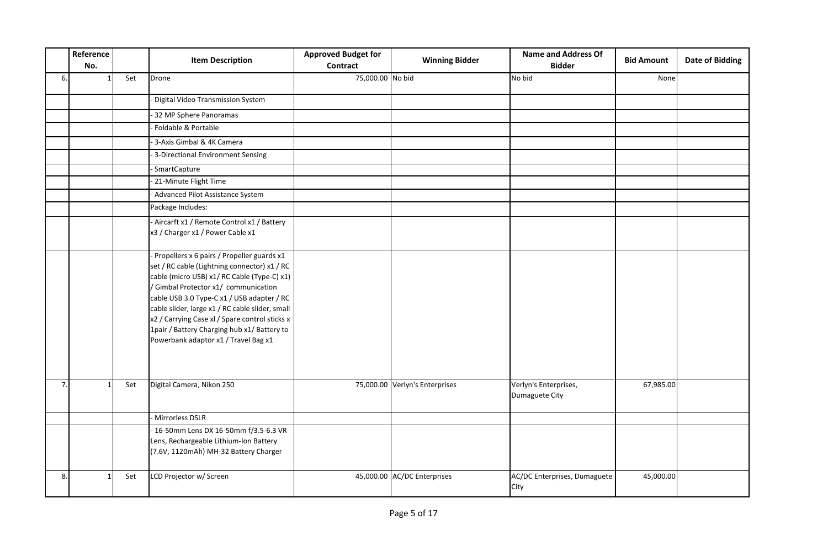|    | Reference<br>No. |     | <b>Item Description</b>                                                                                                                                                                                                                                                                                                                                                                                                     | <b>Approved Budget for</b><br>Contract | <b>Winning Bidder</b>          | <b>Name and Address Of</b><br><b>Bidder</b> | <b>Bid Amount</b> | <b>Date of Bidding</b> |
|----|------------------|-----|-----------------------------------------------------------------------------------------------------------------------------------------------------------------------------------------------------------------------------------------------------------------------------------------------------------------------------------------------------------------------------------------------------------------------------|----------------------------------------|--------------------------------|---------------------------------------------|-------------------|------------------------|
| 6. |                  | Set | Drone                                                                                                                                                                                                                                                                                                                                                                                                                       | 75,000.00 No bid                       |                                | No bid                                      | None              |                        |
|    |                  |     | Digital Video Transmission System                                                                                                                                                                                                                                                                                                                                                                                           |                                        |                                |                                             |                   |                        |
|    |                  |     | 32 MP Sphere Panoramas                                                                                                                                                                                                                                                                                                                                                                                                      |                                        |                                |                                             |                   |                        |
|    |                  |     | Foldable & Portable                                                                                                                                                                                                                                                                                                                                                                                                         |                                        |                                |                                             |                   |                        |
|    |                  |     | 3-Axis Gimbal & 4K Camera                                                                                                                                                                                                                                                                                                                                                                                                   |                                        |                                |                                             |                   |                        |
|    |                  |     | - 3-Directional Environment Sensing                                                                                                                                                                                                                                                                                                                                                                                         |                                        |                                |                                             |                   |                        |
|    |                  |     | SmartCapture                                                                                                                                                                                                                                                                                                                                                                                                                |                                        |                                |                                             |                   |                        |
|    |                  |     | 21-Minute Flight Time                                                                                                                                                                                                                                                                                                                                                                                                       |                                        |                                |                                             |                   |                        |
|    |                  |     | Advanced Pilot Assistance System                                                                                                                                                                                                                                                                                                                                                                                            |                                        |                                |                                             |                   |                        |
|    |                  |     | Package Includes:                                                                                                                                                                                                                                                                                                                                                                                                           |                                        |                                |                                             |                   |                        |
|    |                  |     | - Aircarft x1 / Remote Control x1 / Battery<br>x3 / Charger x1 / Power Cable x1                                                                                                                                                                                                                                                                                                                                             |                                        |                                |                                             |                   |                        |
|    |                  |     | Propellers x 6 pairs / Propeller guards x1<br>set / RC cable (Lightning connector) x1 / RC<br>cable (micro USB) x1/ RC Cable (Type-C) x1)<br>/ Gimbal Protector x1/ communication<br>cable USB 3.0 Type-C x1 / USB adapter / RC<br>cable slider, large x1 / RC cable slider, small<br>x2 / Carrying Case xl / Spare control sticks x<br>1pair / Battery Charging hub x1/ Battery to<br>Powerbank adaptor x1 / Travel Bag x1 |                                        |                                |                                             |                   |                        |
| 7. |                  | Set | Digital Camera, Nikon 250                                                                                                                                                                                                                                                                                                                                                                                                   |                                        | 75,000.00 Verlyn's Enterprises | Verlyn's Enterprises,<br>Dumaguete City     | 67,985.00         |                        |
|    |                  |     | Mirrorless DSLR                                                                                                                                                                                                                                                                                                                                                                                                             |                                        |                                |                                             |                   |                        |
|    |                  |     | - 16-50mm Lens DX 16-50mm f/3.5-6.3 VR<br>Lens, Rechargeable Lithium-Ion Battery<br>(7.6V, 1120mAh) MH-32 Battery Charger                                                                                                                                                                                                                                                                                                   |                                        |                                |                                             |                   |                        |
| 8. |                  | Set | LCD Projector w/ Screen                                                                                                                                                                                                                                                                                                                                                                                                     |                                        | 45,000.00 AC/DC Enterprises    | AC/DC Enterprises, Dumaguete<br>City        | 45,000.00         |                        |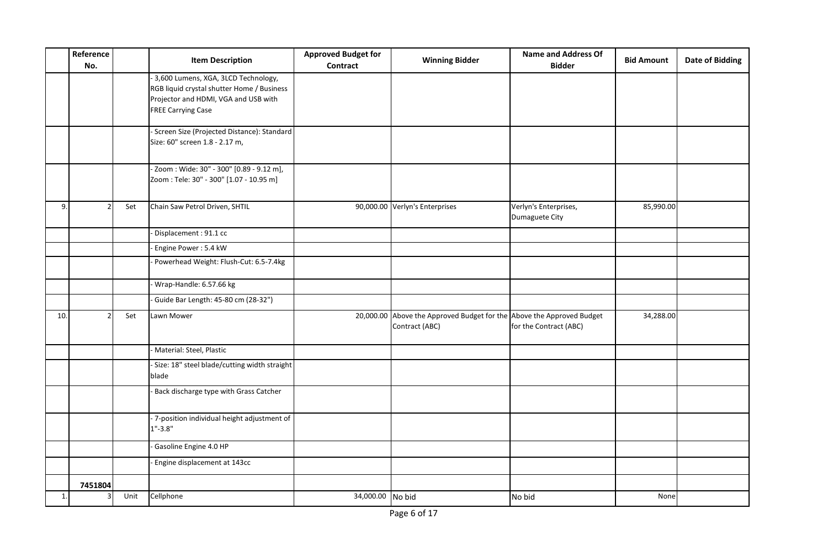|     | Reference<br>No. |      | <b>Item Description</b>                                                                                                                                | <b>Approved Budget for</b><br><b>Contract</b> | <b>Winning Bidder</b>                                                                   | <b>Name and Address Of</b><br><b>Bidder</b> | <b>Bid Amount</b> | <b>Date of Bidding</b> |
|-----|------------------|------|--------------------------------------------------------------------------------------------------------------------------------------------------------|-----------------------------------------------|-----------------------------------------------------------------------------------------|---------------------------------------------|-------------------|------------------------|
|     |                  |      | 3,600 Lumens, XGA, 3LCD Technology,<br>RGB liquid crystal shutter Home / Business<br>Projector and HDMI, VGA and USB with<br><b>FREE Carrying Case</b> |                                               |                                                                                         |                                             |                   |                        |
|     |                  |      | - Screen Size (Projected Distance): Standard<br>Size: 60" screen 1.8 - 2.17 m,                                                                         |                                               |                                                                                         |                                             |                   |                        |
|     |                  |      | - Zoom: Wide: 30" - 300" [0.89 - 9.12 m],<br>Zoom: Tele: 30" - 300" [1.07 - 10.95 m]                                                                   |                                               |                                                                                         |                                             |                   |                        |
| 9.  |                  | Set  | Chain Saw Petrol Driven, SHTIL                                                                                                                         |                                               | 90,000.00 Verlyn's Enterprises                                                          | Verlyn's Enterprises,<br>Dumaguete City     | 85,990.00         |                        |
|     |                  |      | Displacement: 91.1 cc                                                                                                                                  |                                               |                                                                                         |                                             |                   |                        |
|     |                  |      | Engine Power: 5.4 kW                                                                                                                                   |                                               |                                                                                         |                                             |                   |                        |
|     |                  |      | Powerhead Weight: Flush-Cut: 6.5-7.4kg                                                                                                                 |                                               |                                                                                         |                                             |                   |                        |
|     |                  |      | Wrap-Handle: 6.57.66 kg                                                                                                                                |                                               |                                                                                         |                                             |                   |                        |
|     |                  |      | Guide Bar Length: 45-80 cm (28-32")                                                                                                                    |                                               |                                                                                         |                                             |                   |                        |
| 10. |                  | Set  | Lawn Mower                                                                                                                                             |                                               | 20,000.00 Above the Approved Budget for the Above the Approved Budget<br>Contract (ABC) | for the Contract (ABC)                      | 34,288.00         |                        |
|     |                  |      | Material: Steel, Plastic                                                                                                                               |                                               |                                                                                         |                                             |                   |                        |
|     |                  |      | - Size: 18" steel blade/cutting width straight<br>blade                                                                                                |                                               |                                                                                         |                                             |                   |                        |
|     |                  |      | Back discharge type with Grass Catcher                                                                                                                 |                                               |                                                                                         |                                             |                   |                        |
|     |                  |      | - 7-position individual height adjustment of<br>$1" - 3.8"$                                                                                            |                                               |                                                                                         |                                             |                   |                        |
|     |                  |      | Gasoline Engine 4.0 HP                                                                                                                                 |                                               |                                                                                         |                                             |                   |                        |
|     |                  |      | Engine displacement at 143cc                                                                                                                           |                                               |                                                                                         |                                             |                   |                        |
|     | 7451804          |      |                                                                                                                                                        |                                               |                                                                                         |                                             |                   |                        |
| 1.  |                  | Unit | Cellphone                                                                                                                                              | 34,000.00 No bid                              |                                                                                         | No bid                                      | None              |                        |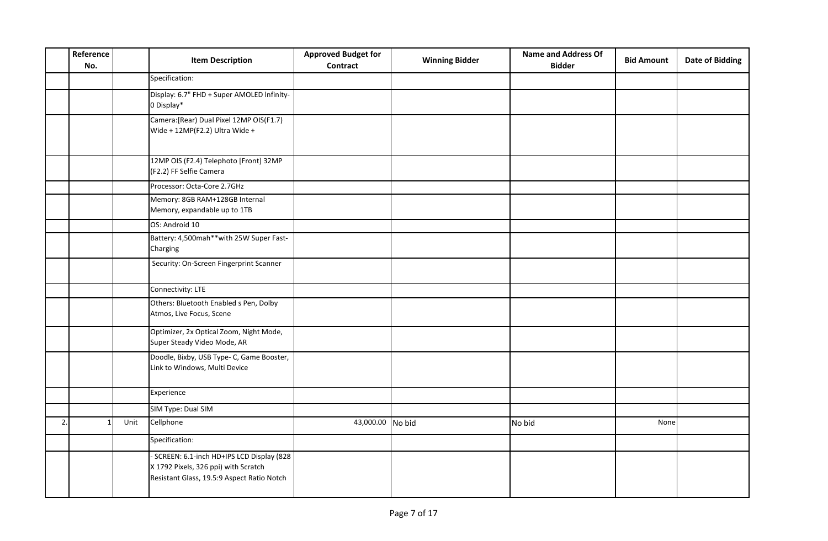|    | Reference<br>No. | <b>Item Description</b>                                                                                                          | <b>Approved Budget for</b><br><b>Contract</b> | <b>Winning Bidder</b> | <b>Name and Address Of</b><br><b>Bidder</b> | <b>Bid Amount</b> | <b>Date of Bidding</b> |
|----|------------------|----------------------------------------------------------------------------------------------------------------------------------|-----------------------------------------------|-----------------------|---------------------------------------------|-------------------|------------------------|
|    |                  | Specification:                                                                                                                   |                                               |                       |                                             |                   |                        |
|    |                  | Display: 6.7" FHD + Super AMOLED Infinity-<br>0 Display*                                                                         |                                               |                       |                                             |                   |                        |
|    |                  | Camera: [Rear] Dual Pixel 12MP OIS (F1.7)<br>Wide + 12MP(F2.2) Ultra Wide +                                                      |                                               |                       |                                             |                   |                        |
|    |                  | 12MP OIS (F2.4) Telephoto [Front] 32MP<br>(F2.2) FF Selfie Camera                                                                |                                               |                       |                                             |                   |                        |
|    |                  | Processor: Octa-Core 2.7GHz                                                                                                      |                                               |                       |                                             |                   |                        |
|    |                  | Memory: 8GB RAM+128GB Internal<br>Memory, expandable up to 1TB                                                                   |                                               |                       |                                             |                   |                        |
|    |                  | OS: Android 10                                                                                                                   |                                               |                       |                                             |                   |                        |
|    |                  | Battery: 4,500mah**with 25W Super Fast-<br>Charging                                                                              |                                               |                       |                                             |                   |                        |
|    |                  | Security: On-Screen Fingerprint Scanner                                                                                          |                                               |                       |                                             |                   |                        |
|    |                  | Connectivity: LTE                                                                                                                |                                               |                       |                                             |                   |                        |
|    |                  | Others: Bluetooth Enabled s Pen, Dolby<br>Atmos, Live Focus, Scene                                                               |                                               |                       |                                             |                   |                        |
|    |                  | Optimizer, 2x Optical Zoom, Night Mode,<br>Super Steady Video Mode, AR                                                           |                                               |                       |                                             |                   |                        |
|    |                  | Doodle, Bixby, USB Type- C, Game Booster,<br>Link to Windows, Multi Device                                                       |                                               |                       |                                             |                   |                        |
|    |                  | Experience                                                                                                                       |                                               |                       |                                             |                   |                        |
|    |                  | SIM Type: Dual SIM                                                                                                               |                                               |                       |                                             |                   |                        |
| 2. | Unit             | Cellphone                                                                                                                        | 43,000.00 No bid                              |                       | No bid                                      | None              |                        |
|    |                  | Specification:                                                                                                                   |                                               |                       |                                             |                   |                        |
|    |                  | - SCREEN: 6.1-inch HD+IPS LCD Display (828<br>X 1792 Pixels, 326 ppi) with Scratch<br>Resistant Glass, 19.5:9 Aspect Ratio Notch |                                               |                       |                                             |                   |                        |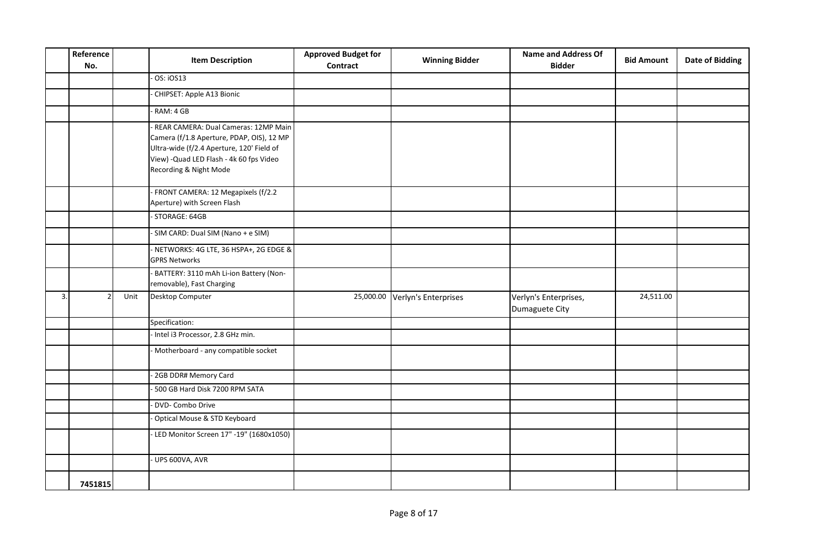|    | Reference<br>No. |      | <b>Item Description</b>                                                                                                                                                                                | <b>Approved Budget for</b><br><b>Contract</b> | <b>Winning Bidder</b> | <b>Name and Address Of</b><br><b>Bidder</b> | <b>Bid Amount</b> | <b>Date of Bidding</b> |
|----|------------------|------|--------------------------------------------------------------------------------------------------------------------------------------------------------------------------------------------------------|-----------------------------------------------|-----------------------|---------------------------------------------|-------------------|------------------------|
|    |                  |      | $OS:$ iOS13                                                                                                                                                                                            |                                               |                       |                                             |                   |                        |
|    |                  |      | CHIPSET: Apple A13 Bionic                                                                                                                                                                              |                                               |                       |                                             |                   |                        |
|    |                  |      | RAM: 4 GB                                                                                                                                                                                              |                                               |                       |                                             |                   |                        |
|    |                  |      | - REAR CAMERA: Dual Cameras: 12MP Main<br>Camera (f/1.8 Aperture, PDAP, OIS), 12 MP<br>Ultra-wide (f/2.4 Aperture, 120' Field of<br>View) - Quad LED Flash - 4k 60 fps Video<br>Recording & Night Mode |                                               |                       |                                             |                   |                        |
|    |                  |      | - FRONT CAMERA: 12 Megapixels (f/2.2<br>Aperture) with Screen Flash                                                                                                                                    |                                               |                       |                                             |                   |                        |
|    |                  |      | - STORAGE: 64GB                                                                                                                                                                                        |                                               |                       |                                             |                   |                        |
|    |                  |      | - SIM CARD: Dual SIM (Nano + e SIM)                                                                                                                                                                    |                                               |                       |                                             |                   |                        |
|    |                  |      | - NETWORKS: 4G LTE, 36 HSPA+, 2G EDGE &<br><b>GPRS Networks</b>                                                                                                                                        |                                               |                       |                                             |                   |                        |
|    |                  |      | - BATTERY: 3110 mAh Li-ion Battery (Non-<br>removable), Fast Charging                                                                                                                                  |                                               |                       |                                             |                   |                        |
| 3. |                  | Unit | Desktop Computer                                                                                                                                                                                       | 25,000.00                                     | Verlyn's Enterprises  | Verlyn's Enterprises,<br>Dumaguete City     | 24,511.00         |                        |
|    |                  |      | Specification:                                                                                                                                                                                         |                                               |                       |                                             |                   |                        |
|    |                  |      | - Intel i3 Processor, 2.8 GHz min.                                                                                                                                                                     |                                               |                       |                                             |                   |                        |
|    |                  |      | - Motherboard - any compatible socket                                                                                                                                                                  |                                               |                       |                                             |                   |                        |
|    |                  |      | - 2GB DDR# Memory Card                                                                                                                                                                                 |                                               |                       |                                             |                   |                        |
|    |                  |      | - 500 GB Hard Disk 7200 RPM SATA                                                                                                                                                                       |                                               |                       |                                             |                   |                        |
|    |                  |      | DVD- Combo Drive                                                                                                                                                                                       |                                               |                       |                                             |                   |                        |
|    |                  |      | Optical Mouse & STD Keyboard                                                                                                                                                                           |                                               |                       |                                             |                   |                        |
|    |                  |      | - LED Monitor Screen 17" -19" (1680x1050)                                                                                                                                                              |                                               |                       |                                             |                   |                        |
|    |                  |      | - UPS 600VA, AVR                                                                                                                                                                                       |                                               |                       |                                             |                   |                        |
|    | 7451815          |      |                                                                                                                                                                                                        |                                               |                       |                                             |                   |                        |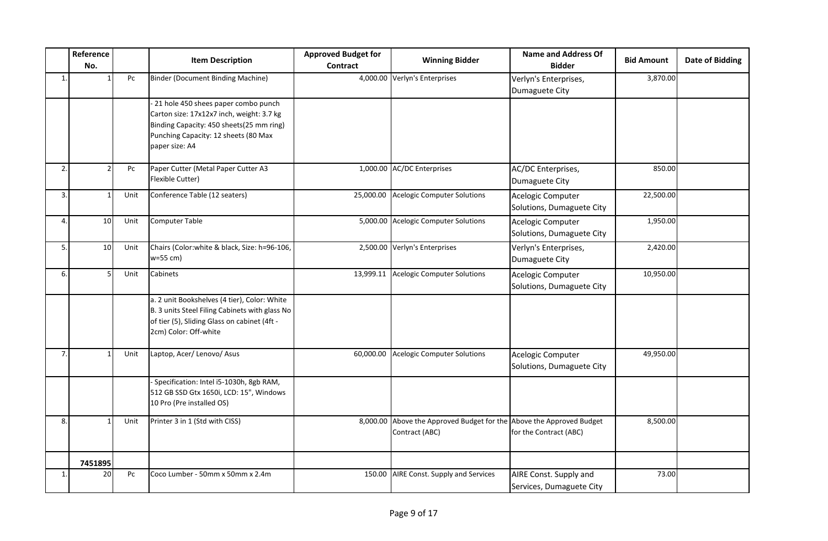|                | Reference<br>No. |      | <b>Item Description</b>                                                                                                                                                                 | <b>Approved Budget for</b><br>Contract | <b>Winning Bidder</b>                                                                  | <b>Name and Address Of</b><br><b>Bidder</b>        | <b>Bid Amount</b> | Date of Bidding |
|----------------|------------------|------|-----------------------------------------------------------------------------------------------------------------------------------------------------------------------------------------|----------------------------------------|----------------------------------------------------------------------------------------|----------------------------------------------------|-------------------|-----------------|
| $\mathbf{1}$ . |                  | Pc   | <b>Binder (Document Binding Machine)</b>                                                                                                                                                |                                        | 4,000.00 Verlyn's Enterprises                                                          | Verlyn's Enterprises,<br>Dumaguete City            | 3,870.00          |                 |
|                |                  |      | -21 hole 450 shees paper combo punch<br>Carton size: 17x12x7 inch, weight: 3.7 kg<br>Binding Capacity: 450 sheets(25 mm ring)<br>Punching Capacity: 12 sheets (80 Max<br>paper size: A4 |                                        |                                                                                        |                                                    |                   |                 |
| 2.             |                  | Pc   | Paper Cutter (Metal Paper Cutter A3<br>Flexible Cutter)                                                                                                                                 |                                        | 1,000.00 AC/DC Enterprises                                                             | AC/DC Enterprises,<br>Dumaguete City               | 850.00            |                 |
| 3.             |                  | Unit | Conference Table (12 seaters)                                                                                                                                                           | 25,000.00                              | <b>Acelogic Computer Solutions</b>                                                     | Acelogic Computer<br>Solutions, Dumaguete City     | 22,500.00         |                 |
| 4.             | 10               | Unit | <b>Computer Table</b>                                                                                                                                                                   |                                        | 5,000.00 Acelogic Computer Solutions                                                   | Acelogic Computer<br>Solutions, Dumaguete City     | 1,950.00          |                 |
| 5.             | 10 <sup>1</sup>  | Unit | Chairs (Color: white & black, Size: h=96-106,<br>$w=55$ cm)                                                                                                                             |                                        | 2,500.00 Verlyn's Enterprises                                                          | Verlyn's Enterprises,<br>Dumaguete City            | 2,420.00          |                 |
| 6.             |                  | Unit | Cabinets                                                                                                                                                                                | 13,999.11                              | <b>Acelogic Computer Solutions</b>                                                     | Acelogic Computer<br>Solutions, Dumaguete City     | 10,950.00         |                 |
|                |                  |      | a. 2 unit Bookshelves (4 tier), Color: White<br>B. 3 units Steel Filing Cabinets with glass No<br>of tier (5), Sliding Glass on cabinet (4ft -<br>2cm) Color: Off-white                 |                                        |                                                                                        |                                                    |                   |                 |
| 7.             |                  | Unit | Laptop, Acer/ Lenovo/ Asus                                                                                                                                                              | 60,000.00                              | <b>Acelogic Computer Solutions</b>                                                     | Acelogic Computer<br>Solutions, Dumaguete City     | 49,950.00         |                 |
|                |                  |      | Specification: Intel i5-1030h, 8gb RAM,<br>512 GB SSD Gtx 1650i, LCD: 15", Windows<br>10 Pro (Pre installed OS)                                                                         |                                        |                                                                                        |                                                    |                   |                 |
| 8.             |                  | Unit | Printer 3 in 1 (Std with CISS)                                                                                                                                                          |                                        | 8,000.00 Above the Approved Budget for the Above the Approved Budget<br>Contract (ABC) | for the Contract (ABC)                             | 8,500.00          |                 |
|                | 7451895          |      |                                                                                                                                                                                         |                                        |                                                                                        |                                                    |                   |                 |
| 1.             | 20               | Pc   | Coco Lumber - 50mm x 50mm x 2.4m                                                                                                                                                        |                                        | 150.00 AIRE Const. Supply and Services                                                 | AIRE Const. Supply and<br>Services, Dumaguete City | 73.00             |                 |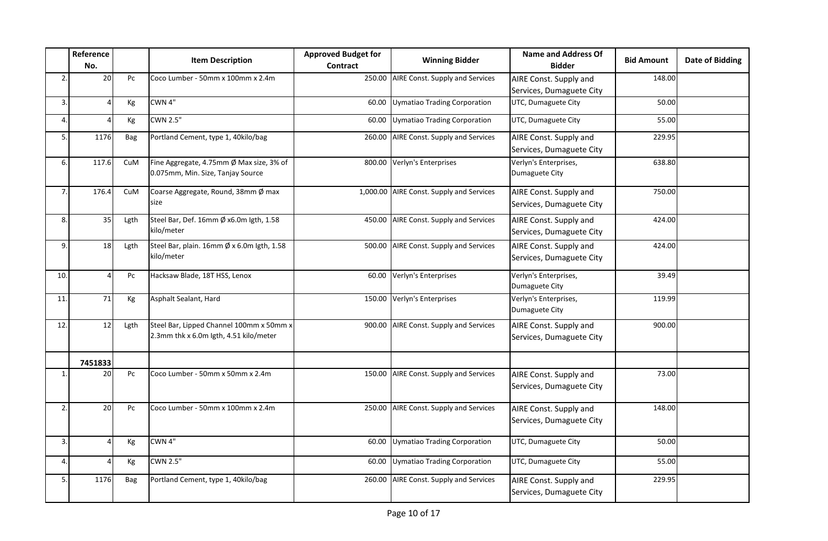|                  | Reference<br>No. |            | <b>Item Description</b>                                                            | <b>Approved Budget for</b><br>Contract | <b>Winning Bidder</b>                    | <b>Name and Address Of</b><br><b>Bidder</b>        | <b>Bid Amount</b> | <b>Date of Bidding</b> |
|------------------|------------------|------------|------------------------------------------------------------------------------------|----------------------------------------|------------------------------------------|----------------------------------------------------|-------------------|------------------------|
| $\overline{2}$ . | 20               | Pc         | Coco Lumber - 50mm x 100mm x 2.4m                                                  |                                        | 250.00 AIRE Const. Supply and Services   | AIRE Const. Supply and<br>Services, Dumaguete City | 148.00            |                        |
| 3.               |                  | Кg         | CWN 4"                                                                             | 60.00                                  | Uymatiao Trading Corporation             | UTC, Dumaguete City                                | 50.00             |                        |
| 4.               |                  | Кg         | <b>CWN 2.5"</b>                                                                    | 60.00                                  | Uymatiao Trading Corporation             | UTC, Dumaguete City                                | 55.00             |                        |
| 5.               | 1176             | <b>Bag</b> | Portland Cement, type 1, 40kilo/bag                                                |                                        | 260.00 AIRE Const. Supply and Services   | AIRE Const. Supply and<br>Services, Dumaguete City | 229.95            |                        |
| 6.               | 117.6            | CuM        | Fine Aggregate, 4.75mm Ø Max size, 3% of<br>0.075mm, Min. Size, Tanjay Source      |                                        | 800.00 Verlyn's Enterprises              | Verlyn's Enterprises,<br>Dumaguete City            | 638.80            |                        |
| 7.               | 176.4            | CuM        | Coarse Aggregate, Round, 38mm Ø max<br>size                                        |                                        | 1,000.00 AIRE Const. Supply and Services | AIRE Const. Supply and<br>Services, Dumaguete City | 750.00            |                        |
| 8.               | 35               | Lgth       | Steel Bar, Def. 16mm Ø x6.0m Igth, 1.58<br>kilo/meter                              |                                        | 450.00 AIRE Const. Supply and Services   | AIRE Const. Supply and<br>Services, Dumaguete City | 424.00            |                        |
| 9.               | 18               | Lgth       | Steel Bar, plain. 16mm Ø x 6.0m Igth, 1.58<br>kilo/meter                           |                                        | 500.00 AIRE Const. Supply and Services   | AIRE Const. Supply and<br>Services, Dumaguete City | 424.00            |                        |
| 10.              | Δ                | Pc         | Hacksaw Blade, 18T HSS, Lenox                                                      | 60.00                                  | Verlyn's Enterprises                     | Verlyn's Enterprises,<br>Dumaguete City            | 39.49             |                        |
| 11.              | 71               | Kg         | Asphalt Sealant, Hard                                                              |                                        | 150.00 Verlyn's Enterprises              | Verlyn's Enterprises,<br>Dumaguete City            | 119.99            |                        |
| 12.              | 12               | Lgth       | Steel Bar, Lipped Channel 100mm x 50mm x<br>2.3mm thk x 6.0m Igth, 4.51 kilo/meter |                                        | 900.00 AIRE Const. Supply and Services   | AIRE Const. Supply and<br>Services, Dumaguete City | 900.00            |                        |
|                  | 7451833          |            |                                                                                    |                                        |                                          |                                                    |                   |                        |
| $\mathbf{1}$ .   | 20               | Pc         | Coco Lumber - 50mm x 50mm x 2.4m                                                   |                                        | 150.00 AIRE Const. Supply and Services   | AIRE Const. Supply and<br>Services, Dumaguete City | 73.00             |                        |
| 2.               | 20               | Pc         | Coco Lumber - 50mm x 100mm x 2.4m                                                  |                                        | 250.00 AIRE Const. Supply and Services   | AIRE Const. Supply and<br>Services, Dumaguete City | 148.00            |                        |
| 3.               |                  | Кg         | CWN 4"                                                                             | 60.00                                  | Uymatiao Trading Corporation             | UTC, Dumaguete City                                | 50.00             |                        |
| 4.               |                  | Кg         | <b>CWN 2.5"</b>                                                                    | 60.00                                  | Uymatiao Trading Corporation             | UTC, Dumaguete City                                | 55.00             |                        |
| 5.               | 1176             | <b>Bag</b> | Portland Cement, type 1, 40kilo/bag                                                |                                        | 260.00 AIRE Const. Supply and Services   | AIRE Const. Supply and<br>Services, Dumaguete City | 229.95            |                        |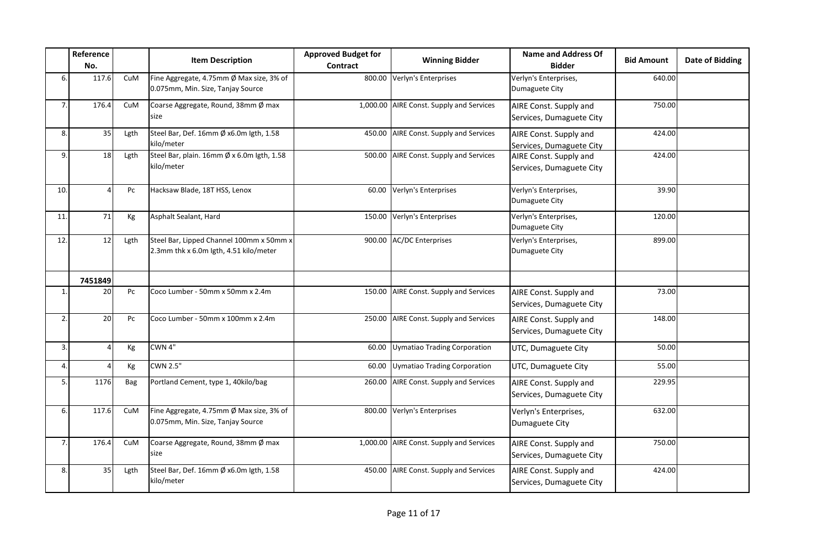|                | Reference<br>No. |            | <b>Item Description</b>                                                            | <b>Approved Budget for</b><br>Contract | <b>Winning Bidder</b>                    | <b>Name and Address Of</b><br><b>Bidder</b>        | <b>Bid Amount</b> | <b>Date of Bidding</b> |
|----------------|------------------|------------|------------------------------------------------------------------------------------|----------------------------------------|------------------------------------------|----------------------------------------------------|-------------------|------------------------|
| 6.             | 117.6            | CuM        | Fine Aggregate, 4.75mm Ø Max size, 3% of<br>0.075mm, Min. Size, Tanjay Source      |                                        | 800.00 Verlyn's Enterprises              | Verlyn's Enterprises,<br>Dumaguete City            | 640.00            |                        |
| 7.             | 176.4            | <b>CuM</b> | Coarse Aggregate, Round, 38mm Ø max<br>size                                        |                                        | 1,000.00 AIRE Const. Supply and Services | AIRE Const. Supply and<br>Services, Dumaguete City | 750.00            |                        |
| 8.             | 35               | Lgth       | Steel Bar, Def. 16mm Ø x6.0m Igth, 1.58<br>kilo/meter                              |                                        | 450.00 AIRE Const. Supply and Services   | AIRE Const. Supply and<br>Services, Dumaguete City | 424.00            |                        |
| 9.             | 18               | Lgth       | Steel Bar, plain. 16mm Ø x 6.0m Igth, 1.58<br>kilo/meter                           |                                        | 500.00 AIRE Const. Supply and Services   | AIRE Const. Supply and<br>Services, Dumaguete City | 424.00            |                        |
| 10.            | $\Delta$         | Pc         | Hacksaw Blade, 18T HSS, Lenox                                                      | 60.00                                  | Verlyn's Enterprises                     | Verlyn's Enterprises,<br>Dumaguete City            | 39.90             |                        |
| 11.            | 71               | Kg         | Asphalt Sealant, Hard                                                              |                                        | 150.00 Verlyn's Enterprises              | Verlyn's Enterprises,<br>Dumaguete City            | 120.00            |                        |
| 12.            | 12               | Lgth       | Steel Bar, Lipped Channel 100mm x 50mm x<br>2.3mm thk x 6.0m Igth, 4.51 kilo/meter |                                        | 900.00 AC/DC Enterprises                 | Verlyn's Enterprises,<br>Dumaguete City            | 899.00            |                        |
|                | 7451849          |            |                                                                                    |                                        |                                          |                                                    |                   |                        |
| $\mathbf{1}$ . | 20               | Pc         | Coco Lumber - 50mm x 50mm x 2.4m                                                   |                                        | 150.00 AIRE Const. Supply and Services   | AIRE Const. Supply and<br>Services, Dumaguete City | 73.00             |                        |
| 2.             | 20               | Pc         | Coco Lumber - 50mm x 100mm x 2.4m                                                  |                                        | 250.00 AIRE Const. Supply and Services   | AIRE Const. Supply and<br>Services, Dumaguete City | 148.00            |                        |
| 3.             | Δ                | Kg         | CWN 4"                                                                             |                                        | 60.00 Uymatiao Trading Corporation       | UTC, Dumaguete City                                | 50.00             |                        |
| 4.             |                  | Kg         | <b>CWN 2.5"</b>                                                                    | 60.00                                  | Uymatiao Trading Corporation             | UTC, Dumaguete City                                | 55.00             |                        |
| 5.             | 1176             | Bag        | Portland Cement, type 1, 40kilo/bag                                                |                                        | 260.00 AIRE Const. Supply and Services   | AIRE Const. Supply and<br>Services, Dumaguete City | 229.95            |                        |
| 6.             | 117.6            | CuM        | Fine Aggregate, 4.75mm Ø Max size, 3% of<br>0.075mm, Min. Size, Tanjay Source      |                                        | 800.00 Verlyn's Enterprises              | Verlyn's Enterprises,<br>Dumaguete City            | 632.00            |                        |
| 7.             | 176.4            | CuM        | Coarse Aggregate, Round, 38mm Ø max<br>size                                        |                                        | 1,000.00 AIRE Const. Supply and Services | AIRE Const. Supply and<br>Services, Dumaguete City | 750.00            |                        |
| 8.             | 35               | Lgth       | Steel Bar, Def. 16mm Ø x6.0m Igth, 1.58<br>kilo/meter                              |                                        | 450.00 AIRE Const. Supply and Services   | AIRE Const. Supply and<br>Services, Dumaguete City | 424.00            |                        |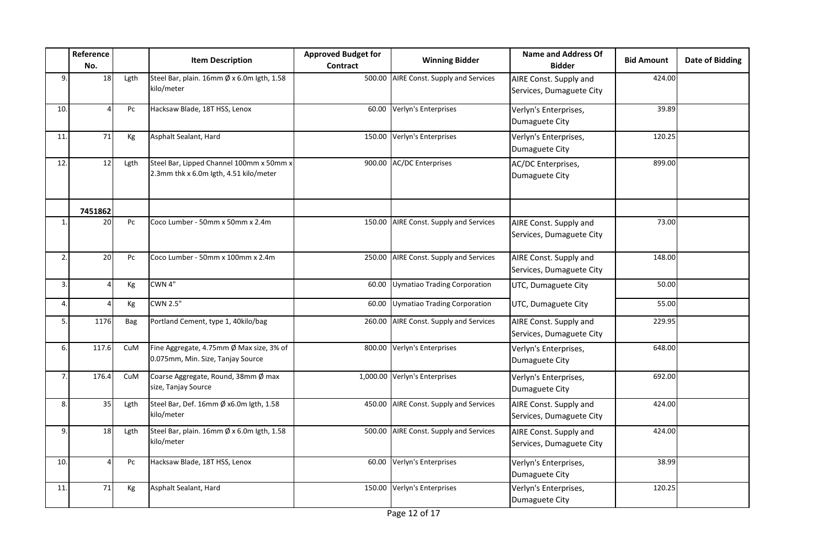|              | Reference<br>No. |      | <b>Item Description</b>                                                            | <b>Approved Budget for</b><br>Contract | <b>Winning Bidder</b>               | <b>Name and Address Of</b><br><b>Bidder</b>        | <b>Bid Amount</b> | <b>Date of Bidding</b> |
|--------------|------------------|------|------------------------------------------------------------------------------------|----------------------------------------|-------------------------------------|----------------------------------------------------|-------------------|------------------------|
| 9.           | 18               | Lgth | Steel Bar, plain. 16mm Ø x 6.0m Igth, 1.58<br>kilo/meter                           | 500.00                                 | AIRE Const. Supply and Services     | AIRE Const. Supply and<br>Services, Dumaguete City | 424.00            |                        |
| 10.          |                  | Pc   | Hacksaw Blade, 18T HSS, Lenox                                                      | 60.00                                  | Verlyn's Enterprises                | Verlyn's Enterprises,<br>Dumaguete City            | 39.89             |                        |
| 11.          | 71               | Kg   | Asphalt Sealant, Hard                                                              | 150.00                                 | Verlyn's Enterprises                | Verlyn's Enterprises,<br>Dumaguete City            | 120.25            |                        |
| 12.          | 12               | Lgth | Steel Bar, Lipped Channel 100mm x 50mm x<br>2.3mm thk x 6.0m lgth, 4.51 kilo/meter | 900.00                                 | <b>AC/DC Enterprises</b>            | AC/DC Enterprises,<br>Dumaguete City               | 899.00            |                        |
|              | 7451862          |      |                                                                                    |                                        |                                     |                                                    |                   |                        |
| $\mathbf{1}$ | 20               | Pc   | Coco Lumber - 50mm x 50mm x 2.4m                                                   | 150.00                                 | AIRE Const. Supply and Services     | AIRE Const. Supply and<br>Services, Dumaguete City | 73.00             |                        |
| 2.           | 20               | Pc   | Coco Lumber - 50mm x 100mm x 2.4m                                                  | 250.00                                 | AIRE Const. Supply and Services     | AIRE Const. Supply and<br>Services, Dumaguete City | 148.00            |                        |
| 3.           |                  | Кg   | CWN 4"                                                                             | 60.00                                  | <b>Uymatiao Trading Corporation</b> | UTC, Dumaguete City                                | 50.00             |                        |
| 4.           |                  | Kg   | <b>CWN 2.5"</b>                                                                    | 60.00                                  | Uymatiao Trading Corporation        | UTC, Dumaguete City                                | 55.00             |                        |
| 5.           | 1176             | Bag  | Portland Cement, type 1, 40kilo/bag                                                | 260.00                                 | AIRE Const. Supply and Services     | AIRE Const. Supply and<br>Services, Dumaguete City | 229.95            |                        |
| 6.           | 117.6            | CuM  | Fine Aggregate, 4.75mm Ø Max size, 3% of<br>0.075mm, Min. Size, Tanjay Source      | 800.00                                 | Verlyn's Enterprises                | Verlyn's Enterprises,<br>Dumaguete City            | 648.00            |                        |
| 7.           | 176.4            | CuM  | Coarse Aggregate, Round, 38mm Ø max<br>size, Tanjay Source                         |                                        | 1,000.00 Verlyn's Enterprises       | Verlyn's Enterprises,<br>Dumaguete City            | 692.00            |                        |
| 8.           | 35               | Lgth | Steel Bar, Def. 16mm Ø x6.0m Igth, 1.58<br>kilo/meter                              | 450.00                                 | AIRE Const. Supply and Services     | AIRE Const. Supply and<br>Services, Dumaguete City | 424.00            |                        |
| 9.           | 18               | Lgth | Steel Bar, plain. 16mm Ø x 6.0m Igth, 1.58<br>kilo/meter                           | 500.00                                 | AIRE Const. Supply and Services     | AIRE Const. Supply and<br>Services, Dumaguete City | 424.00            |                        |
| 10.          |                  | Pc   | Hacksaw Blade, 18T HSS, Lenox                                                      | 60.00                                  | Verlyn's Enterprises                | Verlyn's Enterprises,<br>Dumaguete City            | 38.99             |                        |
| 11.          | 71               | Кg   | Asphalt Sealant, Hard                                                              | 150.00                                 | Verlyn's Enterprises                | Verlyn's Enterprises,<br>Dumaguete City            | 120.25            |                        |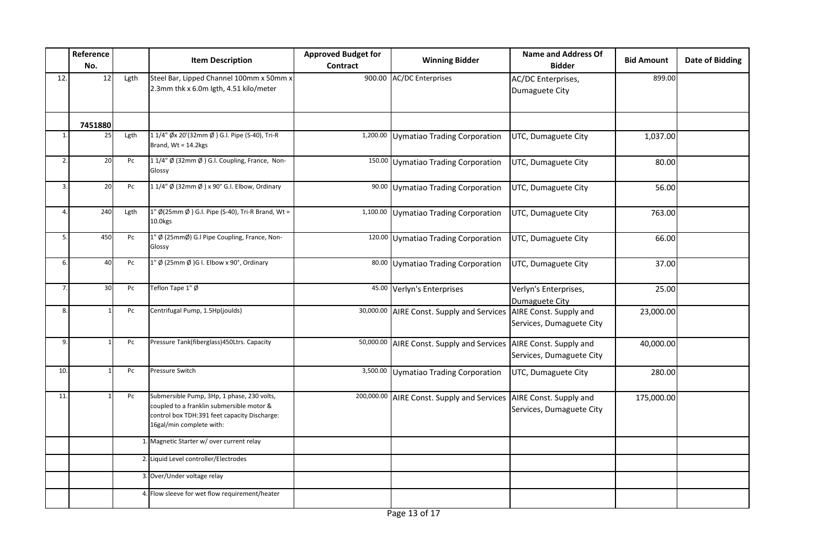|                | Reference<br>No. |      | <b>Item Description</b>                                                                                                                                             | <b>Approved Budget for</b><br><b>Contract</b> | <b>Winning Bidder</b>                      | <b>Name and Address Of</b><br><b>Bidder</b>        | <b>Bid Amount</b> | <b>Date of Bidding</b> |
|----------------|------------------|------|---------------------------------------------------------------------------------------------------------------------------------------------------------------------|-----------------------------------------------|--------------------------------------------|----------------------------------------------------|-------------------|------------------------|
| 12.            | 12               | Lgth | Steel Bar, Lipped Channel 100mm x 50mm x<br>2.3mm thk x 6.0m lgth, 4.51 kilo/meter                                                                                  | 900.00                                        | <b>AC/DC Enterprises</b>                   | AC/DC Enterprises,<br>Dumaguete City               | 899.00            |                        |
|                | 7451880          |      |                                                                                                                                                                     |                                               |                                            |                                                    |                   |                        |
| $\mathbf{1}$   | 25               | Lgth | 1 1/4" Øx 20'(32mm Ø ) G.I. Pipe (S-40), Tri-R<br>Brand, $Wt = 14.2$ kgs                                                                                            | 1,200.00                                      | Uymatiao Trading Corporation               | UTC, Dumaguete City                                | 1,037.00          |                        |
| 2.             | 20               | Pc   | 11/4" Ø (32mm Ø ) G.I. Coupling, France, Non-<br>Glossy                                                                                                             |                                               | 150.00 Uymatiao Trading Corporation        | UTC, Dumaguete City                                | 80.00             |                        |
| 3              | 20               | Pc   | 1 1/4" Ø (32mm Ø ) x 90° G.I. Elbow, Ordinary                                                                                                                       |                                               | 90.00 Uymatiao Trading Corporation         | UTC, Dumaguete City                                | 56.00             |                        |
| Δ              | 240              | Lgth | 1" Ø(25mm Ø) G.l. Pipe (S-40), Tri-R Brand, Wt =<br>10.0kgs                                                                                                         |                                               | 1,100.00 Uymatiao Trading Corporation      | UTC, Dumaguete City                                | 763.00            |                        |
| 5              | 450              | Pc   | 1" Ø (25mmØ) G.I Pipe Coupling, France, Non-<br>Glossy                                                                                                              |                                               | 120.00 Uymatiao Trading Corporation        | UTC, Dumaguete City                                | 66.00             |                        |
| 6.             | 40               | Pc   | 1" Ø (25mm Ø )G I. Elbow x 90°, Ordinary                                                                                                                            |                                               | 80.00 Uymatiao Trading Corporation         | UTC, Dumaguete City                                | 37.00             |                        |
| $\overline{7}$ | 30               | Pc   | Teflon Tape 1" Ø                                                                                                                                                    |                                               | 45.00 Verlyn's Enterprises                 | Verlyn's Enterprises,<br>Dumaguete City            | 25.00             |                        |
| 8.             |                  | Pc   | Centrifugal Pump, 1.5Hp(joulds)                                                                                                                                     | 30,000.00                                     | AIRE Const. Supply and Services            | AIRE Const. Supply and<br>Services, Dumaguete City | 23,000.00         |                        |
| 9.             |                  | Pc   | Pressure Tank(fiberglass)450Ltrs. Capacity                                                                                                                          | 50,000.00                                     | AIRE Const. Supply and Services            | AIRE Const. Supply and<br>Services, Dumaguete City | 40,000.00         |                        |
| 10.            |                  | Pc   | Pressure Switch                                                                                                                                                     |                                               | 3,500.00 Uymatiao Trading Corporation      | UTC, Dumaguete City                                | 280.00            |                        |
| 11.            |                  | Pc   | Submersible Pump, 3Hp, 1 phase, 230 volts,<br>coupled to a franklin submersible motor &<br>control box TDH:391 feet capacity Discharge:<br>16gal/min complete with: |                                               | 200,000.00 AIRE Const. Supply and Services | AIRE Const. Supply and<br>Services, Dumaguete City | 175,000.00        |                        |
|                |                  |      | 1. Magnetic Starter w/ over current relay                                                                                                                           |                                               |                                            |                                                    |                   |                        |
|                |                  |      | 2. Liquid Level controller/Electrodes                                                                                                                               |                                               |                                            |                                                    |                   |                        |
|                |                  |      | 3. Over/Under voltage relay                                                                                                                                         |                                               |                                            |                                                    |                   |                        |
|                |                  |      | 4. Flow sleeve for wet flow requirement/heater                                                                                                                      |                                               |                                            |                                                    |                   |                        |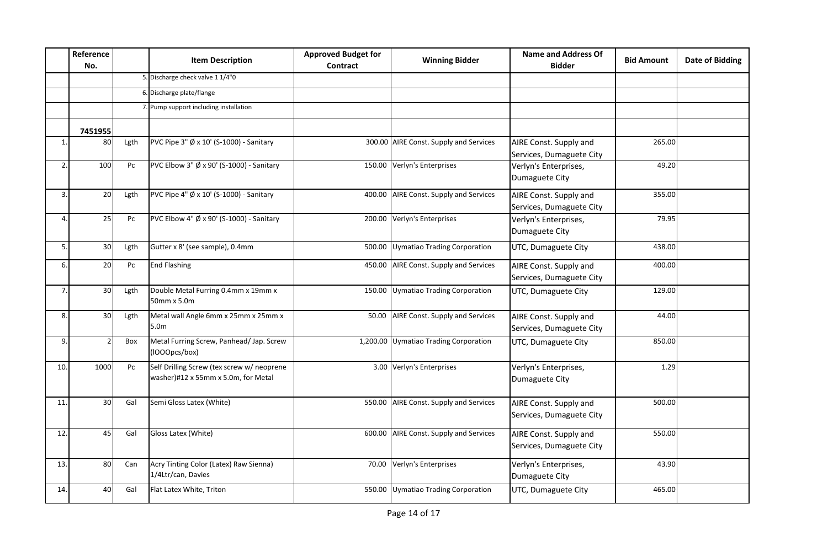|                | Reference<br>No. |      | <b>Item Description</b>                                                           | <b>Approved Budget for</b><br>Contract | <b>Winning Bidder</b>                  | <b>Name and Address Of</b><br><b>Bidder</b>        | <b>Bid Amount</b> | <b>Date of Bidding</b> |
|----------------|------------------|------|-----------------------------------------------------------------------------------|----------------------------------------|----------------------------------------|----------------------------------------------------|-------------------|------------------------|
|                |                  |      | 5. Discharge check valve 1 1/4"0                                                  |                                        |                                        |                                                    |                   |                        |
|                |                  |      | 6. Discharge plate/flange                                                         |                                        |                                        |                                                    |                   |                        |
|                |                  |      | 7. Pump support including installation                                            |                                        |                                        |                                                    |                   |                        |
|                | 7451955          |      |                                                                                   |                                        |                                        |                                                    |                   |                        |
| $\mathbf{1}$   | 80               | Lgth | PVC Pipe 3" Ø x 10' (S-1000) - Sanitary                                           |                                        | 300.00 AIRE Const. Supply and Services | AIRE Const. Supply and<br>Services, Dumaguete City | 265.00            |                        |
| 2.             | 100              | Pc   | PVC Elbow 3" Ø x 90' (S-1000) - Sanitary                                          |                                        | 150.00 Verlyn's Enterprises            | Verlyn's Enterprises,<br>Dumaguete City            | 49.20             |                        |
| 3.             | 20               | Lgth | PVC Pipe 4" $\emptyset$ x 10' (S-1000) - Sanitary                                 |                                        | 400.00 AIRE Const. Supply and Services | AIRE Const. Supply and<br>Services, Dumaguete City | 355.00            |                        |
| $\overline{4}$ | 25               | Pc   | PVC Elbow 4" Ø x 90' (S-1000) - Sanitary                                          |                                        | 200.00 Verlyn's Enterprises            | Verlyn's Enterprises,<br>Dumaguete City            | 79.95             |                        |
| 5.             | 30               | Lgth | Gutter x 8' (see sample), 0.4mm                                                   |                                        | 500.00 Uymatiao Trading Corporation    | UTC, Dumaguete City                                | 438.00            |                        |
| 6.             | 20               | Pc   | <b>End Flashing</b>                                                               |                                        | 450.00 AIRE Const. Supply and Services | AIRE Const. Supply and<br>Services, Dumaguete City | 400.00            |                        |
| 7.             | 30               | Lgth | Double Metal Furring 0.4mm x 19mm x<br>50mm x 5.0m                                |                                        | 150.00 Uymatiao Trading Corporation    | UTC, Dumaguete City                                | 129.00            |                        |
| 8.             | 30 <sup>1</sup>  | Lgth | Metal wall Angle 6mm x 25mm x 25mm x<br>5.0 <sub>m</sub>                          | 50.00                                  | AIRE Const. Supply and Services        | AIRE Const. Supply and<br>Services, Dumaguete City | 44.00             |                        |
| 9.             |                  | Box  | Metal Furring Screw, Panhead/ Jap. Screw<br>(IOOOpcs/box)                         |                                        | 1,200.00 Uymatiao Trading Corporation  | UTC, Dumaguete City                                | 850.00            |                        |
| 10.            | 1000             | Pc   | Self Drilling Screw (tex screw w/ neoprene<br>washer)#12 x 55mm x 5.0m, for Metal |                                        | 3.00 Verlyn's Enterprises              | Verlyn's Enterprises,<br>Dumaguete City            | 1.29              |                        |
| 11.            | 30               | Gal  | Semi Gloss Latex (White)                                                          |                                        | 550.00 AIRE Const. Supply and Services | AIRE Const. Supply and<br>Services, Dumaguete City | 500.00            |                        |
| 12.            | 45               | Gal  | Gloss Latex (White)                                                               |                                        | 600.00 AIRE Const. Supply and Services | AIRE Const. Supply and<br>Services, Dumaguete City | 550.00            |                        |
| 13.            | 80               | Can  | Acry Tinting Color (Latex) Raw Sienna)<br>1/4Ltr/can, Davies                      |                                        | 70.00 Verlyn's Enterprises             | Verlyn's Enterprises,<br>Dumaguete City            | 43.90             |                        |
| 14.            | 40               | Gal  | Flat Latex White, Triton                                                          |                                        | 550.00 Uymatiao Trading Corporation    | UTC, Dumaguete City                                | 465.00            |                        |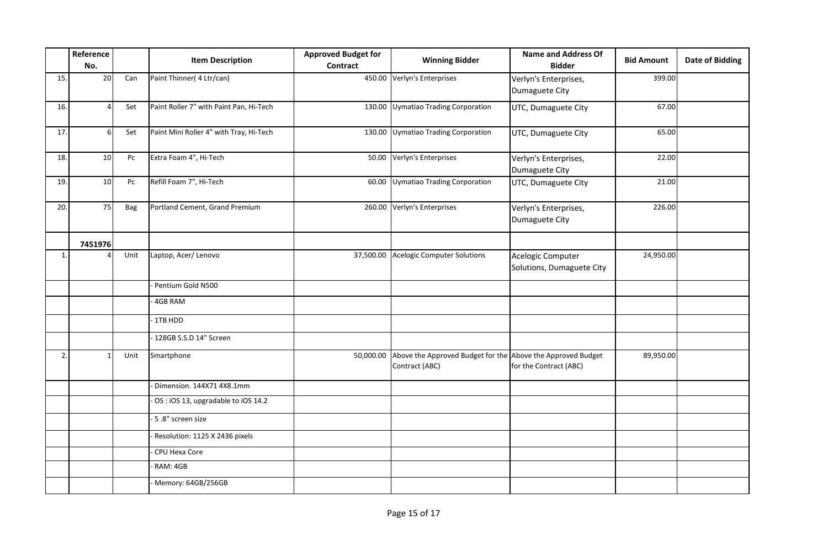|     | Reference<br>No. |      | <b>Item Description</b>                 | <b>Approved Budget for</b><br><b>Contract</b> | <b>Winning Bidder</b>                                                         | <b>Name and Address Of</b><br><b>Bidder</b>    | <b>Bid Amount</b> | <b>Date of Bidding</b> |
|-----|------------------|------|-----------------------------------------|-----------------------------------------------|-------------------------------------------------------------------------------|------------------------------------------------|-------------------|------------------------|
| 15. | 20               | Can  | Paint Thinner (4 Ltr/can)               |                                               | 450.00 Verlyn's Enterprises                                                   | Verlyn's Enterprises,<br>Dumaguete City        | 399.00            |                        |
| 16. |                  | Set  | Paint Roller 7" with Paint Pan, Hi-Tech | 130.00                                        | Uymatiao Trading Corporation                                                  | UTC, Dumaguete City                            | 67.00             |                        |
| 17. | 6                | Set  | Paint Mini Roller 4" with Tray, Hi-Tech |                                               | 130.00 Uymatiao Trading Corporation                                           | UTC, Dumaguete City                            | 65.00             |                        |
| 18. | 10 <sup>1</sup>  | Pc   | Extra Foam 4", Hi-Tech                  | 50.00                                         | Verlyn's Enterprises                                                          | Verlyn's Enterprises,<br>Dumaguete City        | 22.00             |                        |
| 19. | 10 <sup>1</sup>  | Pc   | Refill Foam 7", Hi-Tech                 | 60.00                                         | Uymatiao Trading Corporation                                                  | UTC, Dumaguete City                            | 21.00             |                        |
| 20. | 75               | Bag  | Portland Cement, Grand Premium          |                                               | 260.00 Verlyn's Enterprises                                                   | Verlyn's Enterprises,<br>Dumaguete City        | 226.00            |                        |
|     | 7451976          |      |                                         |                                               |                                                                               |                                                |                   |                        |
| 1.  |                  | Unit | Laptop, Acer/Lenovo                     |                                               | 37,500.00 Acelogic Computer Solutions                                         | Acelogic Computer<br>Solutions, Dumaguete City | 24,950.00         |                        |
|     |                  |      | Pentium Gold N500                       |                                               |                                                                               |                                                |                   |                        |
|     |                  |      | 4GB RAM                                 |                                               |                                                                               |                                                |                   |                        |
|     |                  |      | 1TB HDD                                 |                                               |                                                                               |                                                |                   |                        |
|     |                  |      | 128GB S.S.D 14" Screen                  |                                               |                                                                               |                                                |                   |                        |
| 2.  |                  | Unit | Smartphone                              | 50,000.00                                     | Above the Approved Budget for the Above the Approved Budget<br>Contract (ABC) | for the Contract (ABC)                         | 89,950.00         |                        |
|     |                  |      | Dimension. 144X71 4X8.1mm               |                                               |                                                                               |                                                |                   |                        |
|     |                  |      | OS: iOS 13, upgradable to iOS 14.2      |                                               |                                                                               |                                                |                   |                        |
|     |                  |      | 5.8" screen size                        |                                               |                                                                               |                                                |                   |                        |
|     |                  |      | Resolution: 1125 X 2436 pixels          |                                               |                                                                               |                                                |                   |                        |
|     |                  |      | CPU Hexa Core                           |                                               |                                                                               |                                                |                   |                        |
|     |                  |      | RAM: 4GB                                |                                               |                                                                               |                                                |                   |                        |
|     |                  |      | Memory: 64GB/256GB                      |                                               |                                                                               |                                                |                   |                        |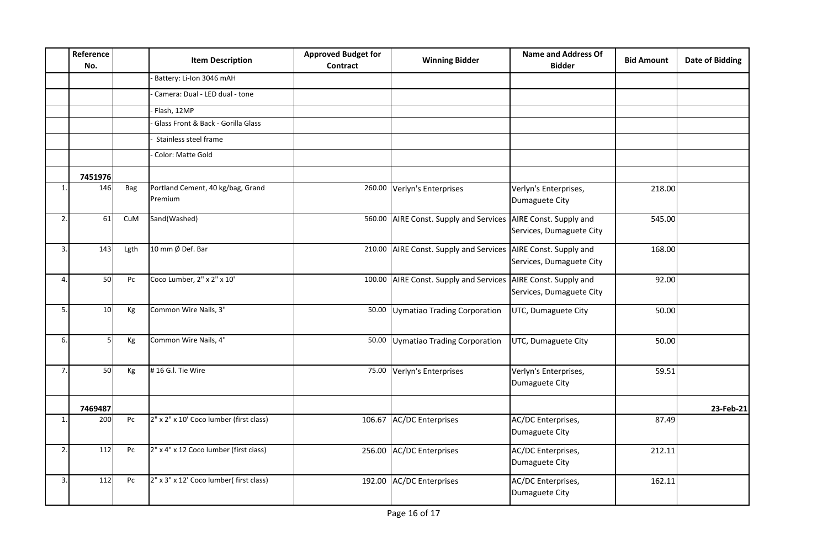|              | Reference<br>No. |            | <b>Item Description</b>                      | <b>Approved Budget for</b><br>Contract | <b>Winning Bidder</b>                                         | <b>Name and Address Of</b><br><b>Bidder</b> | <b>Bid Amount</b> | <b>Date of Bidding</b> |
|--------------|------------------|------------|----------------------------------------------|----------------------------------------|---------------------------------------------------------------|---------------------------------------------|-------------------|------------------------|
|              |                  |            | Battery: Li-Ion 3046 mAH                     |                                        |                                                               |                                             |                   |                        |
|              |                  |            | Camera: Dual - LED dual - tone               |                                        |                                                               |                                             |                   |                        |
|              |                  |            | Flash, 12MP                                  |                                        |                                                               |                                             |                   |                        |
|              |                  |            | Glass Front & Back - Gorilla Glass           |                                        |                                                               |                                             |                   |                        |
|              |                  |            | Stainless steel frame                        |                                        |                                                               |                                             |                   |                        |
|              |                  |            | Color: Matte Gold                            |                                        |                                                               |                                             |                   |                        |
|              | 7451976          |            |                                              |                                        |                                                               |                                             |                   |                        |
| $\mathbf{1}$ | 146              | <b>Bag</b> | Portland Cement, 40 kg/bag, Grand<br>Premium |                                        | 260.00 Verlyn's Enterprises                                   | Verlyn's Enterprises,<br>Dumaguete City     | 218.00            |                        |
| 2.           | 61               | CuM        | Sand(Washed)                                 | 560.00                                 | AIRE Const. Supply and Services AIRE Const. Supply and        | Services, Dumaguete City                    | 545.00            |                        |
| 3.           | 143              | Lgth       | 10 mm Ø Def. Bar                             |                                        | 210.00 AIRE Const. Supply and Services AIRE Const. Supply and | Services, Dumaguete City                    | 168.00            |                        |
| 4.           | 50               | Pc         | Coco Lumber, 2" x 2" x 10'                   | 100.00                                 | AIRE Const. Supply and Services AIRE Const. Supply and        | Services, Dumaguete City                    | 92.00             |                        |
| 5.           | 10 <sup>1</sup>  | Kg         | Common Wire Nails, 3"                        |                                        | 50.00 Uymatiao Trading Corporation                            | UTC, Dumaguete City                         | 50.00             |                        |
| 6.           | 5.               | Kg         | Common Wire Nails, 4"                        | 50.00                                  | Uymatiao Trading Corporation                                  | UTC, Dumaguete City                         | 50.00             |                        |
| 7.           | 50               | Kg         | #16 G.I. Tie Wire                            | 75.00                                  | Verlyn's Enterprises                                          | Verlyn's Enterprises,<br>Dumaguete City     | 59.51             |                        |
|              | 7469487          |            |                                              |                                        |                                                               |                                             |                   | 23-Feb-21              |
| 1.           | 200              | Pc         | 2" x 2" x 10' Coco lumber (first class)      | 106.67                                 | <b>AC/DC Enterprises</b>                                      | AC/DC Enterprises,<br>Dumaguete City        | 87.49             |                        |
| 2.           | 112              | Pc         | 2" x 4" x 12 Coco lumber (first ciass)       | 256.00                                 | <b>AC/DC Enterprises</b>                                      | AC/DC Enterprises,<br>Dumaguete City        | 212.11            |                        |
| 3.           | 112              | Pc         | 2" x 3" x 12' Coco lumber(first class)       | 192.00                                 | <b>AC/DC Enterprises</b>                                      | AC/DC Enterprises,<br>Dumaguete City        | 162.11            |                        |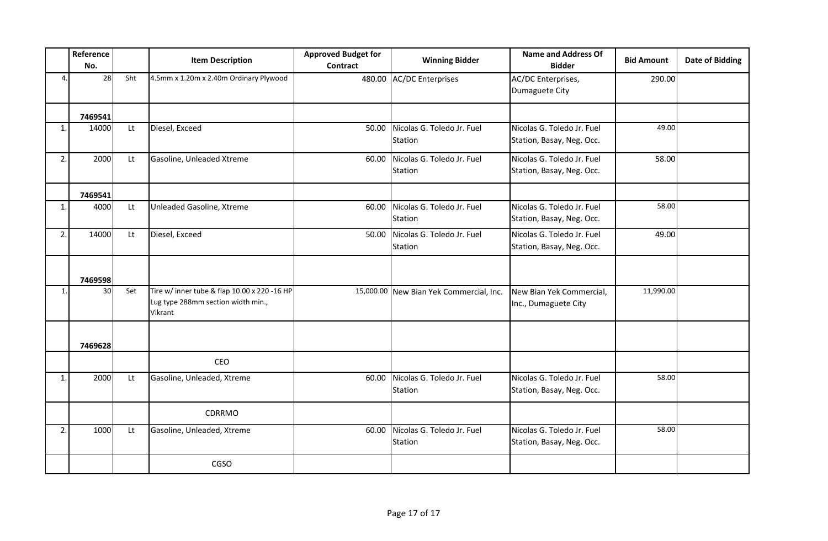|              | Reference<br>No. |     | <b>Item Description</b>                                                                       | <b>Approved Budget for</b><br><b>Contract</b> | <b>Winning Bidder</b>                   | <b>Name and Address Of</b><br><b>Bidder</b>             | <b>Bid Amount</b> | Date of Bidding |
|--------------|------------------|-----|-----------------------------------------------------------------------------------------------|-----------------------------------------------|-----------------------------------------|---------------------------------------------------------|-------------------|-----------------|
| 4.           | 28               | Sht | 4.5mm x 1.20m x 2.40m Ordinary Plywood                                                        | 480.00                                        | <b>AC/DC Enterprises</b>                | AC/DC Enterprises,<br>Dumaguete City                    | 290.00            |                 |
|              | 7469541          |     |                                                                                               |                                               |                                         |                                                         |                   |                 |
| 1.           | 14000            | Lt  | Diesel, Exceed                                                                                | 50.00                                         | Nicolas G. Toledo Jr. Fuel<br>Station   | Nicolas G. Toledo Jr. Fuel<br>Station, Basay, Neg. Occ. | 49.00             |                 |
| 2.           | 2000             | Lt  | Gasoline, Unleaded Xtreme                                                                     | 60.00                                         | Nicolas G. Toledo Jr. Fuel<br>Station   | Nicolas G. Toledo Jr. Fuel<br>Station, Basay, Neg. Occ. | 58.00             |                 |
|              | 7469541          |     |                                                                                               |                                               |                                         |                                                         |                   |                 |
| 1.           | 4000             | Lt  | Unleaded Gasoline, Xtreme                                                                     | 60.00                                         | Nicolas G. Toledo Jr. Fuel<br>Station   | Nicolas G. Toledo Jr. Fuel<br>Station, Basay, Neg. Occ. | 58.00             |                 |
| 2.           | 14000            | Lt  | Diesel, Exceed                                                                                | 50.00                                         | Nicolas G. Toledo Jr. Fuel<br>Station   | Nicolas G. Toledo Jr. Fuel<br>Station, Basay, Neg. Occ. | 49.00             |                 |
|              | 7469598          |     |                                                                                               |                                               |                                         |                                                         |                   |                 |
| 1.           | 30 <sub>2</sub>  | Set | Tire w/ inner tube & flap 10.00 x 220 -16 HP<br>Lug type 288mm section width min.,<br>Vikrant |                                               | 15,000.00 New Bian Yek Commercial, Inc. | New Bian Yek Commercial,<br>Inc., Dumaguete City        | 11,990.00         |                 |
|              | 7469628          |     |                                                                                               |                                               |                                         |                                                         |                   |                 |
|              |                  |     | CEO                                                                                           |                                               |                                         |                                                         |                   |                 |
| $\mathbf{1}$ | 2000             | Lt  | Gasoline, Unleaded, Xtreme                                                                    | 60.00                                         | Nicolas G. Toledo Jr. Fuel<br>Station   | Nicolas G. Toledo Jr. Fuel<br>Station, Basay, Neg. Occ. | 58.00             |                 |
|              |                  |     | CDRRMO                                                                                        |                                               |                                         |                                                         |                   |                 |
| 2.           | 1000             | Lt  | Gasoline, Unleaded, Xtreme                                                                    | 60.00                                         | Nicolas G. Toledo Jr. Fuel<br>Station   | Nicolas G. Toledo Jr. Fuel<br>Station, Basay, Neg. Occ. | 58.00             |                 |
|              |                  |     | CGSO                                                                                          |                                               |                                         |                                                         |                   |                 |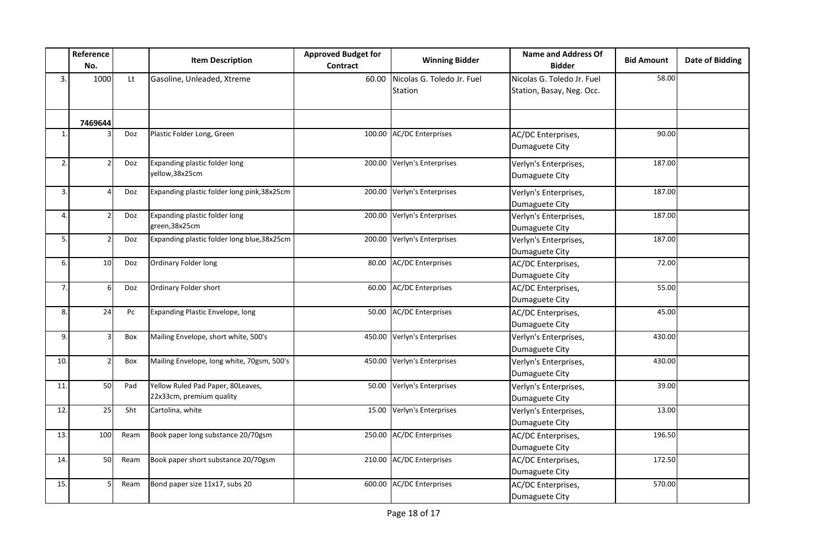|                  | Reference<br>No. |      | <b>Item Description</b>                                       | <b>Approved Budget for</b><br><b>Contract</b> | <b>Winning Bidder</b>                 | <b>Name and Address Of</b><br><b>Bidder</b>             | <b>Bid Amount</b> | <b>Date of Bidding</b> |
|------------------|------------------|------|---------------------------------------------------------------|-----------------------------------------------|---------------------------------------|---------------------------------------------------------|-------------------|------------------------|
| 3.               | 1000             | Lt   | Gasoline, Unleaded, Xtreme                                    | 60.00                                         | Nicolas G. Toledo Jr. Fuel<br>Station | Nicolas G. Toledo Jr. Fuel<br>Station, Basay, Neg. Occ. | 58.00             |                        |
|                  | 7469644          |      |                                                               |                                               |                                       |                                                         |                   |                        |
| $\mathbf{1}$     |                  | Doz  | Plastic Folder Long, Green                                    |                                               | 100.00 AC/DC Enterprises              | AC/DC Enterprises,<br>Dumaguete City                    | 90.00             |                        |
| 2.               |                  | Doz  | Expanding plastic folder long<br>yellow, 38x25cm              |                                               | 200.00 Verlyn's Enterprises           | Verlyn's Enterprises,<br>Dumaguete City                 | 187.00            |                        |
| $\overline{3}$ . |                  | Doz  | Expanding plastic folder long pink, 38x25cm                   |                                               | 200.00 Verlyn's Enterprises           | Verlyn's Enterprises,<br>Dumaguete City                 | 187.00            |                        |
| 4.               | 2                | Doz  | Expanding plastic folder long<br>green,38x25cm                |                                               | 200.00 Verlyn's Enterprises           | Verlyn's Enterprises,<br>Dumaguete City                 | 187.00            |                        |
| 5.               |                  | Doz  | Expanding plastic folder long blue, 38x25cm                   |                                               | 200.00 Verlyn's Enterprises           | Verlyn's Enterprises,<br>Dumaguete City                 | 187.00            |                        |
| 6.               | 10               | Doz  | Ordinary Folder long                                          |                                               | 80.00 AC/DC Enterprises               | AC/DC Enterprises,<br>Dumaguete City                    | 72.00             |                        |
| 7.               | 6                | Doz  | Ordinary Folder short                                         |                                               | 60.00 AC/DC Enterprises               | AC/DC Enterprises,<br>Dumaguete City                    | 55.00             |                        |
| 8.               | 24               | Pc   | Expanding Plastic Envelope, long                              | 50.00                                         | AC/DC Enterprises                     | AC/DC Enterprises,<br>Dumaguete City                    | 45.00             |                        |
| 9.               | 3                | Box  | Mailing Envelope, short white, 500's                          |                                               | 450.00 Verlyn's Enterprises           | Verlyn's Enterprises,<br>Dumaguete City                 | 430.00            |                        |
| 10.              | $\overline{2}$   | Box  | Mailing Envelope, long white, 70gsm, 500's                    |                                               | 450.00 Verlyn's Enterprises           | Verlyn's Enterprises,<br>Dumaguete City                 | 430.00            |                        |
| 11               | 50               | Pad  | Yellow Ruled Pad Paper, 80Leaves,<br>22x33cm, premium quality |                                               | 50.00 Verlyn's Enterprises            | Verlyn's Enterprises,<br>Dumaguete City                 | 39.00             |                        |
| 12.              | 25               | Sht  | Cartolina, white                                              |                                               | 15.00 Verlyn's Enterprises            | Verlyn's Enterprises,<br>Dumaguete City                 | 13.00             |                        |
| 13.              | 100              | Ream | Book paper long substance 20/70gsm                            |                                               | 250.00 AC/DC Enterprises              | AC/DC Enterprises,<br>Dumaguete City                    | 196.50            |                        |
| 14.              | 50               | Ream | Book paper short substance 20/70gsm                           |                                               | 210.00 AC/DC Enterprises              | AC/DC Enterprises,<br>Dumaguete City                    | 172.50            |                        |
| 15.              |                  | Ream | Bond paper size 11x17, subs 20                                |                                               | 600.00 AC/DC Enterprises              | AC/DC Enterprises,<br>Dumaguete City                    | 570.00            |                        |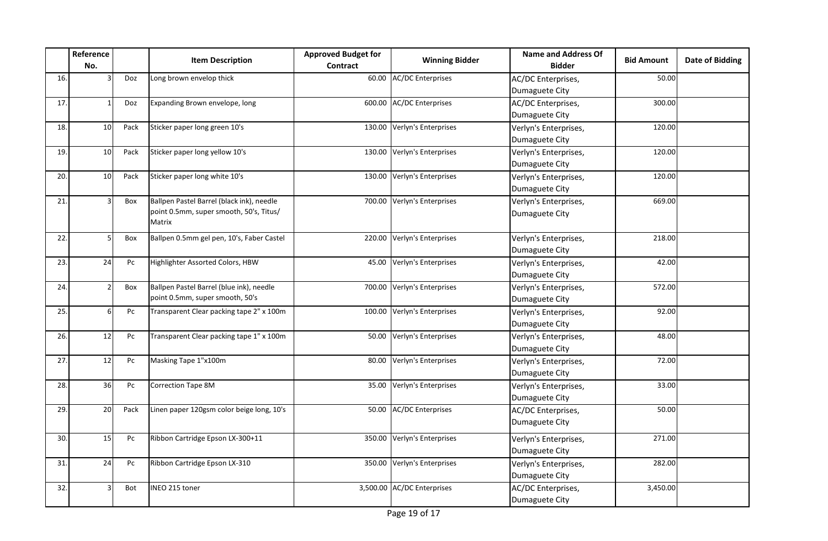|     | Reference<br>No. |      | <b>Item Description</b>                                                                        | <b>Approved Budget for</b><br>Contract | <b>Winning Bidder</b>       | <b>Name and Address Of</b><br><b>Bidder</b> | <b>Bid Amount</b> | <b>Date of Bidding</b> |
|-----|------------------|------|------------------------------------------------------------------------------------------------|----------------------------------------|-----------------------------|---------------------------------------------|-------------------|------------------------|
| 16. |                  | Doz  | Long brown envelop thick                                                                       | 60.00                                  | <b>AC/DC Enterprises</b>    | AC/DC Enterprises,<br>Dumaguete City        | 50.00             |                        |
| 17. |                  | Doz  | Expanding Brown envelope, long                                                                 |                                        | 600.00 AC/DC Enterprises    | AC/DC Enterprises,<br>Dumaguete City        | 300.00            |                        |
| 18. | 10               | Pack | Sticker paper long green 10's                                                                  |                                        | 130.00 Verlyn's Enterprises | Verlyn's Enterprises,<br>Dumaguete City     | 120.00            |                        |
| 19. | 10               | Pack | Sticker paper long yellow 10's                                                                 | 130.00                                 | Verlyn's Enterprises        | Verlyn's Enterprises,<br>Dumaguete City     | 120.00            |                        |
| 20. | 10               | Pack | Sticker paper long white 10's                                                                  | 130.00                                 | Verlyn's Enterprises        | Verlyn's Enterprises,<br>Dumaguete City     | 120.00            |                        |
| 21  |                  | Box  | Ballpen Pastel Barrel (black ink), needle<br>point 0.5mm, super smooth, 50's, Titus/<br>Matrix |                                        | 700.00 Verlyn's Enterprises | Verlyn's Enterprises,<br>Dumaguete City     | 669.00            |                        |
| 22. |                  | Box  | Ballpen 0.5mm gel pen, 10's, Faber Castel                                                      |                                        | 220.00 Verlyn's Enterprises | Verlyn's Enterprises,<br>Dumaguete City     | 218.00            |                        |
| 23. | 24               | Pc   | Highlighter Assorted Colors, HBW                                                               | 45.00                                  | Verlyn's Enterprises        | Verlyn's Enterprises,<br>Dumaguete City     | 42.00             |                        |
| 24  |                  | Box  | Ballpen Pastel Barrel (blue ink), needle<br>point 0.5mm, super smooth, 50's                    |                                        | 700.00 Verlyn's Enterprises | Verlyn's Enterprises,<br>Dumaguete City     | 572.00            |                        |
| 25. | 6                | Pc   | Transparent Clear packing tape 2" x 100m                                                       | 100.00                                 | Verlyn's Enterprises        | Verlyn's Enterprises,<br>Dumaguete City     | 92.00             |                        |
| 26. | 12               | Pc   | Transparent Clear packing tape 1" x 100m                                                       | 50.00                                  | Verlyn's Enterprises        | Verlyn's Enterprises,<br>Dumaguete City     | 48.00             |                        |
| 27. | 12               | Pc   | Masking Tape 1"x100m                                                                           | 80.00                                  | Verlyn's Enterprises        | Verlyn's Enterprises,<br>Dumaguete City     | 72.00             |                        |
| 28. | 36               | Pc   | Correction Tape 8M                                                                             | 35.00                                  | Verlyn's Enterprises        | Verlyn's Enterprises,<br>Dumaguete City     | 33.00             |                        |
| 29. | 20               | Pack | Linen paper 120gsm color beige long, 10's                                                      | 50.00                                  | <b>AC/DC Enterprises</b>    | AC/DC Enterprises,<br>Dumaguete City        | 50.00             |                        |
| 30. | 15               | Pc   | Ribbon Cartridge Epson LX-300+11                                                               |                                        | 350.00 Verlyn's Enterprises | Verlyn's Enterprises,<br>Dumaguete City     | 271.00            |                        |
| 31  | 24               | Pc   | Ribbon Cartridge Epson LX-310                                                                  |                                        | 350.00 Verlyn's Enterprises | Verlyn's Enterprises,<br>Dumaguete City     | 282.00            |                        |
| 32. | 3                | Bot  | INEO 215 toner                                                                                 |                                        | 3,500.00 AC/DC Enterprises  | AC/DC Enterprises,<br>Dumaguete City        | 3,450.00          |                        |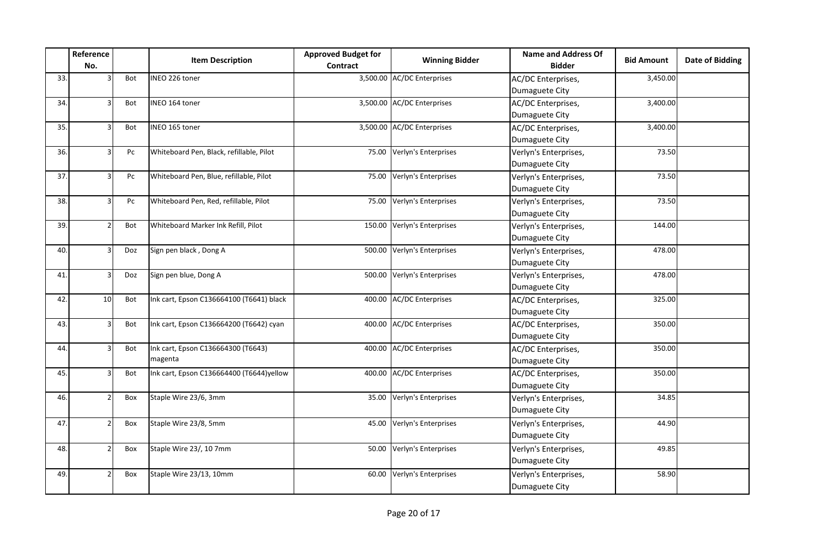|     | Reference<br>No. |     | <b>Item Description</b>                       | <b>Approved Budget for</b><br>Contract | <b>Winning Bidder</b>       | <b>Name and Address Of</b><br><b>Bidder</b> | <b>Bid Amount</b> | <b>Date of Bidding</b> |
|-----|------------------|-----|-----------------------------------------------|----------------------------------------|-----------------------------|---------------------------------------------|-------------------|------------------------|
| 33. |                  | Bot | INEO 226 toner                                |                                        | 3,500.00 AC/DC Enterprises  | AC/DC Enterprises,<br>Dumaguete City        | 3,450.00          |                        |
| 34. |                  | Bot | INEO 164 toner                                |                                        | 3,500.00 AC/DC Enterprises  | AC/DC Enterprises,<br>Dumaguete City        | 3,400.00          |                        |
| 35. |                  | Bot | INEO 165 toner                                |                                        | 3,500.00 AC/DC Enterprises  | AC/DC Enterprises,<br>Dumaguete City        | 3,400.00          |                        |
| 36. | 3                | Pc  | Whiteboard Pen, Black, refillable, Pilot      |                                        | 75.00 Verlyn's Enterprises  | Verlyn's Enterprises,<br>Dumaguete City     | 73.50             |                        |
| 37. | 3                | Pc  | Whiteboard Pen, Blue, refillable, Pilot       | 75.00                                  | Verlyn's Enterprises        | Verlyn's Enterprises,<br>Dumaguete City     | 73.50             |                        |
| 38. |                  | Pc  | Whiteboard Pen, Red, refillable, Pilot        | 75.00                                  | Verlyn's Enterprises        | Verlyn's Enterprises,<br>Dumaguete City     | 73.50             |                        |
| 39. |                  | Bot | Whiteboard Marker Ink Refill, Pilot           |                                        | 150.00 Verlyn's Enterprises | Verlyn's Enterprises,<br>Dumaguete City     | 144.00            |                        |
| 40. |                  | Doz | Sign pen black, Dong A                        |                                        | 500.00 Verlyn's Enterprises | Verlyn's Enterprises,<br>Dumaguete City     | 478.00            |                        |
| 41. |                  | Doz | Sign pen blue, Dong A                         |                                        | 500.00 Verlyn's Enterprises | Verlyn's Enterprises,<br>Dumaguete City     | 478.00            |                        |
| 42. | 10               | Bot | Ink cart, Epson C136664100 (T6641) black      |                                        | 400.00 AC/DC Enterprises    | AC/DC Enterprises,<br>Dumaguete City        | 325.00            |                        |
| 43. | 3                | Bot | Ink cart, Epson C136664200 (T6642) cyan       |                                        | 400.00 AC/DC Enterprises    | AC/DC Enterprises,<br>Dumaguete City        | 350.00            |                        |
| 44. |                  | Bot | Ink cart, Epson C136664300 (T6643)<br>magenta |                                        | 400.00 AC/DC Enterprises    | AC/DC Enterprises,<br>Dumaguete City        | 350.00            |                        |
| 45. |                  | Bot | Ink cart, Epson C136664400 (T6644)yellow      |                                        | 400.00 AC/DC Enterprises    | AC/DC Enterprises,<br>Dumaguete City        | 350.00            |                        |
| 46. |                  | Box | Staple Wire 23/6, 3mm                         | 35.00                                  | Verlyn's Enterprises        | Verlyn's Enterprises,<br>Dumaguete City     | 34.85             |                        |
| 47. |                  | Box | Staple Wire 23/8, 5mm                         | 45.00                                  | Verlyn's Enterprises        | Verlyn's Enterprises,<br>Dumaguete City     | 44.90             |                        |
| 48. |                  | Box | Staple Wire 23/, 10 7mm                       | 50.00                                  | Verlyn's Enterprises        | Verlyn's Enterprises,<br>Dumaguete City     | 49.85             |                        |
| 49. |                  | Box | Staple Wire 23/13, 10mm                       |                                        | 60.00 Verlyn's Enterprises  | Verlyn's Enterprises,<br>Dumaguete City     | 58.90             |                        |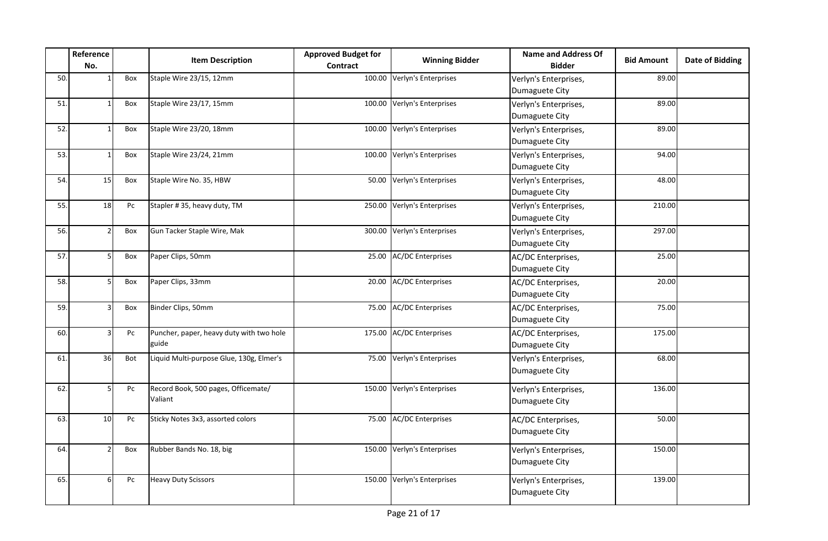|     | Reference<br>No. |     | <b>Item Description</b>                           | <b>Approved Budget for</b><br>Contract | <b>Winning Bidder</b>       | <b>Name and Address Of</b><br><b>Bidder</b> | <b>Bid Amount</b> | Date of Bidding |
|-----|------------------|-----|---------------------------------------------------|----------------------------------------|-----------------------------|---------------------------------------------|-------------------|-----------------|
| 50. |                  | Box | Staple Wire 23/15, 12mm                           |                                        | 100.00 Verlyn's Enterprises | Verlyn's Enterprises,<br>Dumaguete City     | 89.00             |                 |
| 51. |                  | Box | Staple Wire 23/17, 15mm                           |                                        | 100.00 Verlyn's Enterprises | Verlyn's Enterprises,<br>Dumaguete City     | 89.00             |                 |
| 52. |                  | Box | Staple Wire 23/20, 18mm                           |                                        | 100.00 Verlyn's Enterprises | Verlyn's Enterprises,<br>Dumaguete City     | 89.00             |                 |
| 53. |                  | Box | Staple Wire 23/24, 21mm                           |                                        | 100.00 Verlyn's Enterprises | Verlyn's Enterprises,<br>Dumaguete City     | 94.00             |                 |
| 54. | 15               | Box | Staple Wire No. 35, HBW                           |                                        | 50.00 Verlyn's Enterprises  | Verlyn's Enterprises,<br>Dumaguete City     | 48.00             |                 |
| 55. | 18               | Pc  | Stapler #35, heavy duty, TM                       |                                        | 250.00 Verlyn's Enterprises | Verlyn's Enterprises,<br>Dumaguete City     | 210.00            |                 |
| 56. |                  | Box | Gun Tacker Staple Wire, Mak                       |                                        | 300.00 Verlyn's Enterprises | Verlyn's Enterprises,<br>Dumaguete City     | 297.00            |                 |
| 57. |                  | Box | Paper Clips, 50mm                                 |                                        | 25.00 AC/DC Enterprises     | AC/DC Enterprises,<br>Dumaguete City        | 25.00             |                 |
| 58. |                  | Box | Paper Clips, 33mm                                 | 20.00                                  | <b>AC/DC Enterprises</b>    | AC/DC Enterprises,<br>Dumaguete City        | 20.00             |                 |
| 59. | 3                | Box | Binder Clips, 50mm                                |                                        | 75.00 AC/DC Enterprises     | AC/DC Enterprises,<br>Dumaguete City        | 75.00             |                 |
| 60. |                  | Pc  | Puncher, paper, heavy duty with two hole<br>guide |                                        | 175.00 AC/DC Enterprises    | AC/DC Enterprises,<br>Dumaguete City        | 175.00            |                 |
| 61  | 36               | Bot | Liquid Multi-purpose Glue, 130g, Elmer's          | 75.00                                  | Verlyn's Enterprises        | Verlyn's Enterprises,<br>Dumaguete City     | 68.00             |                 |
| 62. | 5                | Pc  | Record Book, 500 pages, Officemate/<br>Valiant    |                                        | 150.00 Verlyn's Enterprises | Verlyn's Enterprises,<br>Dumaguete City     | 136.00            |                 |
| 63. | 10               | Pc  | Sticky Notes 3x3, assorted colors                 |                                        | 75.00 AC/DC Enterprises     | AC/DC Enterprises,<br>Dumaguete City        | 50.00             |                 |
| 64  |                  | Box | Rubber Bands No. 18, big                          |                                        | 150.00 Verlyn's Enterprises | Verlyn's Enterprises,<br>Dumaguete City     | 150.00            |                 |
| 65. | 6                | Pc  | <b>Heavy Duty Scissors</b>                        |                                        | 150.00 Verlyn's Enterprises | Verlyn's Enterprises,<br>Dumaguete City     | 139.00            |                 |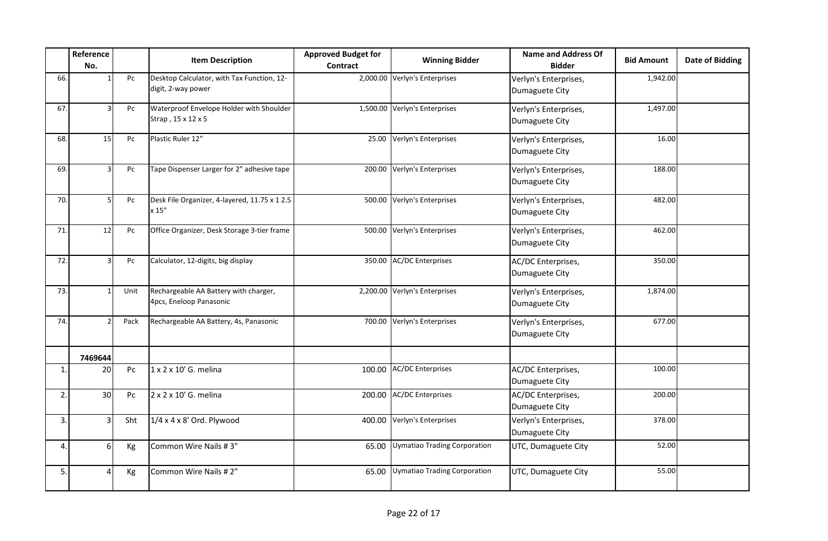|                | Reference<br>No. |      | <b>Item Description</b>                                          | <b>Approved Budget for</b><br><b>Contract</b> | <b>Winning Bidder</b>               | <b>Name and Address Of</b><br><b>Bidder</b> | <b>Bid Amount</b> | Date of Bidding |
|----------------|------------------|------|------------------------------------------------------------------|-----------------------------------------------|-------------------------------------|---------------------------------------------|-------------------|-----------------|
| 66.            |                  | Pc   | Desktop Calculator, with Tax Function, 12-<br>digit, 2-way power |                                               | 2,000.00 Verlyn's Enterprises       | Verlyn's Enterprises,<br>Dumaguete City     | 1,942.00          |                 |
| 67.            |                  | Pc   | Waterproof Envelope Holder with Shoulder<br>Strap, 15 x 12 x 5   |                                               | 1,500.00 Verlyn's Enterprises       | Verlyn's Enterprises,<br>Dumaguete City     | 1,497.00          |                 |
| 68.            | 15               | Pc   | Plastic Ruler 12"                                                |                                               | 25.00 Verlyn's Enterprises          | Verlyn's Enterprises,<br>Dumaguete City     | 16.00             |                 |
| 69.            |                  | Pc   | Tape Dispenser Larger for 2" adhesive tape                       |                                               | 200.00 Verlyn's Enterprises         | Verlyn's Enterprises,<br>Dumaguete City     | 188.00            |                 |
| 70.            |                  | Pc   | Desk File Organizer, 4-layered, 11.75 x 1 2.5<br>x 15"           |                                               | 500.00 Verlyn's Enterprises         | Verlyn's Enterprises,<br>Dumaguete City     | 482.00            |                 |
| 71.            | 12               | Pc   | Office Organizer, Desk Storage 3-tier frame                      |                                               | 500.00 Verlyn's Enterprises         | Verlyn's Enterprises,<br>Dumaguete City     | 462.00            |                 |
| 72.            | 3                | Pc   | Calculator, 12-digits, big display                               |                                               | 350.00 AC/DC Enterprises            | AC/DC Enterprises,<br>Dumaguete City        | 350.00            |                 |
| 73.            |                  | Unit | Rechargeable AA Battery with charger,<br>4pcs, Eneloop Panasonic |                                               | 2,200.00 Verlyn's Enterprises       | Verlyn's Enterprises,<br>Dumaguete City     | 1,874.00          |                 |
| 74.            |                  | Pack | Rechargeable AA Battery, 4s, Panasonic                           |                                               | 700.00 Verlyn's Enterprises         | Verlyn's Enterprises,<br>Dumaguete City     | 677.00            |                 |
|                | 7469644          |      |                                                                  |                                               |                                     |                                             |                   |                 |
| $\mathbf{1}$   | 20               | Pc   | 1 x 2 x 10' G. melina                                            |                                               | 100.00 AC/DC Enterprises            | AC/DC Enterprises,<br>Dumaguete City        | 100.00            |                 |
| $\overline{2}$ | 30               | Pc   | 2 x 2 x 10' G. melina                                            |                                               | 200.00 AC/DC Enterprises            | AC/DC Enterprises,<br>Dumaguete City        | 200.00            |                 |
| 3.             | 3                | Sht  | $1/4 \times 4 \times 8'$ Ord. Plywood                            | 400.00                                        | Verlyn's Enterprises                | Verlyn's Enterprises,<br>Dumaguete City     | 378.00            |                 |
| 4              | 6                | Kg   | Common Wire Nails #3"                                            | 65.00                                         | Uymatiao Trading Corporation        | UTC, Dumaguete City                         | 52.00             |                 |
| 5.             | Δ                | Kg   | Common Wire Nails #2"                                            | 65.00                                         | <b>Uymatiao Trading Corporation</b> | UTC, Dumaguete City                         | 55.00             |                 |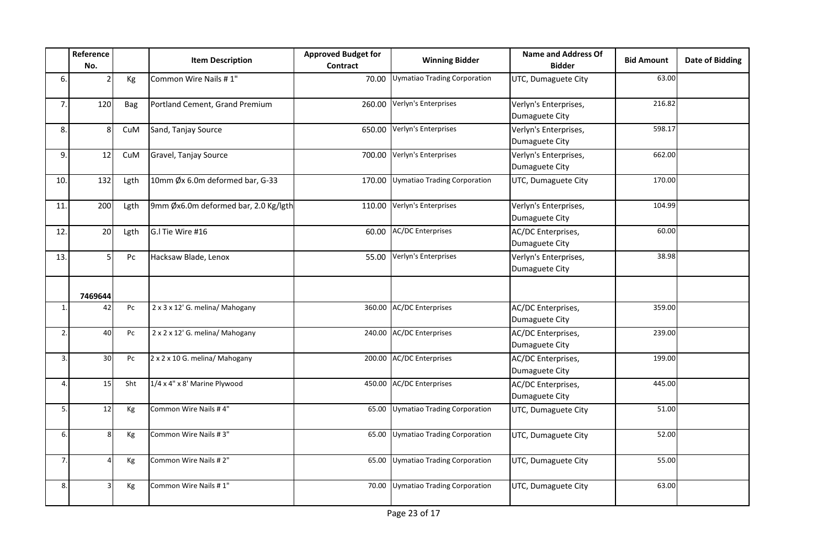|                  | Reference<br>No. |      | <b>Item Description</b>              | <b>Approved Budget for</b><br>Contract | <b>Winning Bidder</b>              | <b>Name and Address Of</b><br><b>Bidder</b> | <b>Bid Amount</b> | <b>Date of Bidding</b> |
|------------------|------------------|------|--------------------------------------|----------------------------------------|------------------------------------|---------------------------------------------|-------------------|------------------------|
| 6.               |                  | Kg   | Common Wire Nails #1"                | 70.00                                  | Uymatiao Trading Corporation       | UTC, Dumaguete City                         | 63.00             |                        |
| 7.               | 120              | Bag  | Portland Cement, Grand Premium       | 260.00                                 | Verlyn's Enterprises               | Verlyn's Enterprises,<br>Dumaguete City     | 216.82            |                        |
| 8.               | 8                | CuM  | Sand, Tanjay Source                  |                                        | 650.00 Verlyn's Enterprises        | Verlyn's Enterprises,<br>Dumaguete City     | 598.17            |                        |
| 9.               | 12               | CuM  | Gravel, Tanjay Source                | 700.00                                 | Verlyn's Enterprises               | Verlyn's Enterprises,<br>Dumaguete City     | 662.00            |                        |
| 10.              | 132              | Lgth | 10mm Øx 6.0m deformed bar, G-33      | 170.00                                 | Uymatiao Trading Corporation       | UTC, Dumaguete City                         | 170.00            |                        |
| 11.              | 200              | Lgth | 9mm Øx6.0m deformed bar, 2.0 Kg/lgth | 110.00                                 | Verlyn's Enterprises               | Verlyn's Enterprises,<br>Dumaguete City     | 104.99            |                        |
| 12.              | 20               | Lgth | G.I Tie Wire #16                     | 60.00                                  | <b>AC/DC Enterprises</b>           | AC/DC Enterprises,<br>Dumaguete City        | 60.00             |                        |
| 13.              | 5 <sup>1</sup>   | Pc   | Hacksaw Blade, Lenox                 | 55.00                                  | Verlyn's Enterprises               | Verlyn's Enterprises,<br>Dumaguete City     | 38.98             |                        |
|                  | 7469644          |      |                                      |                                        |                                    |                                             |                   |                        |
| $\mathbf{1}$     | 42               | Pc   | 2 x 3 x 12' G. melina/ Mahogany      |                                        | 360.00 AC/DC Enterprises           | AC/DC Enterprises,<br>Dumaguete City        | 359.00            |                        |
| 2.               | 40               | Pc   | 2 x 2 x 12' G. melina/ Mahogany      |                                        | 240.00 AC/DC Enterprises           | AC/DC Enterprises,<br>Dumaguete City        | 239.00            |                        |
| $\overline{3}$ . | 30               | Pc   | 2 x 2 x 10 G. melina/ Mahogany       |                                        | 200.00 AC/DC Enterprises           | AC/DC Enterprises,<br>Dumaguete City        | 199.00            |                        |
| $\overline{4}$   | 15               | Sht  | 1/4 x 4" x 8' Marine Plywood         |                                        | 450.00 AC/DC Enterprises           | AC/DC Enterprises,<br>Dumaguete City        | 445.00            |                        |
| 5.               | 12               | Кg   | Common Wire Nails #4"                | 65.00                                  | Uymatiao Trading Corporation       | UTC, Dumaguete City                         | 51.00             |                        |
| 6.               | 8                | Кg   | Common Wire Nails #3"                | 65.00                                  | Uymatiao Trading Corporation       | UTC, Dumaguete City                         | 52.00             |                        |
| 7.               |                  | Кg   | Common Wire Nails #2"                | 65.00                                  | Uymatiao Trading Corporation       | UTC, Dumaguete City                         | 55.00             |                        |
| 8                | 3                | Kg   | Common Wire Nails #1"                |                                        | 70.00 Uymatiao Trading Corporation | UTC, Dumaguete City                         | 63.00             |                        |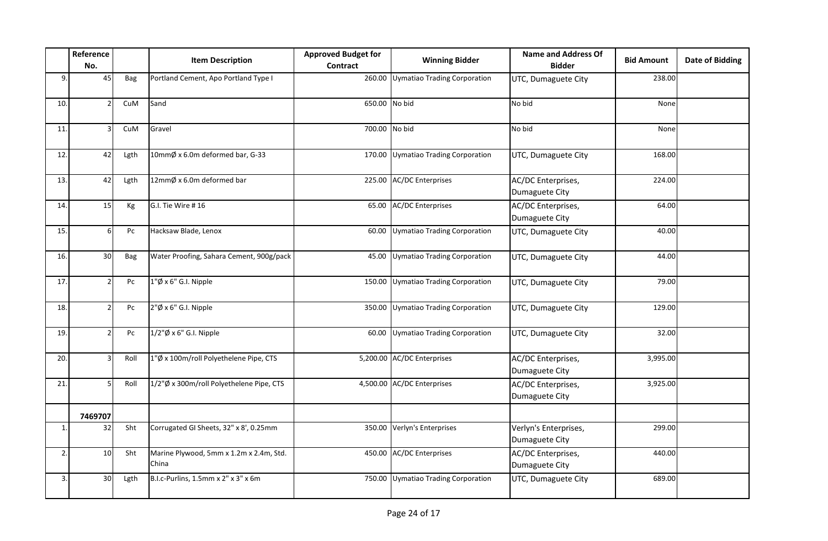|                | Reference<br>No. |      | <b>Item Description</b>                          | <b>Approved Budget for</b><br>Contract | <b>Winning Bidder</b>               | <b>Name and Address Of</b><br><b>Bidder</b> | <b>Bid Amount</b> | <b>Date of Bidding</b> |
|----------------|------------------|------|--------------------------------------------------|----------------------------------------|-------------------------------------|---------------------------------------------|-------------------|------------------------|
| 9              | 45               | Bag  | Portland Cement, Apo Portland Type I             | 260.00                                 | Uymatiao Trading Corporation        | UTC, Dumaguete City                         | 238.00            |                        |
| 10.            |                  | CuM  | Sand                                             | 650.00 No bid                          |                                     | No bid                                      | None              |                        |
| 11.            |                  | CuM  | Gravel                                           | 700.00 No bid                          |                                     | No bid                                      | None              |                        |
| 12.            | 42               | Lgth | 10mmØ x 6.0m deformed bar, G-33                  |                                        | 170.00 Uymatiao Trading Corporation | UTC, Dumaguete City                         | 168.00            |                        |
| 13.            | 42               | Lgth | 12mmØ x 6.0m deformed bar                        |                                        | 225.00 AC/DC Enterprises            | AC/DC Enterprises,<br>Dumaguete City        | 224.00            |                        |
| 14.            | 15               | Кg   | G.I. Tie Wire #16                                |                                        | 65.00 AC/DC Enterprises             | AC/DC Enterprises,<br>Dumaguete City        | 64.00             |                        |
| 15.            | 6                | Pc   | Hacksaw Blade, Lenox                             | 60.00                                  | Uymatiao Trading Corporation        | UTC, Dumaguete City                         | 40.00             |                        |
| 16.            | 30 <sub>o</sub>  | Bag  | Water Proofing, Sahara Cement, 900g/pack         | 45.00                                  | Uymatiao Trading Corporation        | UTC, Dumaguete City                         | 44.00             |                        |
| 17.            |                  | Pc   | $1"\emptyset$ x 6" G.I. Nipple                   |                                        | 150.00 Uymatiao Trading Corporation | UTC, Dumaguete City                         | 79.00             |                        |
| 18.            |                  | Pc   | 2"Ø x 6" G.I. Nipple                             |                                        | 350.00 Uymatiao Trading Corporation | UTC, Dumaguete City                         | 129.00            |                        |
| 19.            | $\mathcal{P}$    | Pc   | $1/2$ " $\emptyset$ x 6" G.I. Nipple             | 60.00                                  | Uymatiao Trading Corporation        | UTC, Dumaguete City                         | 32.00             |                        |
| 20.            |                  | Roll | 1"Ø x 100m/roll Polyethelene Pipe, CTS           |                                        | 5,200.00 AC/DC Enterprises          | AC/DC Enterprises,<br>Dumaguete City        | 3,995.00          |                        |
| 21.            |                  | Roll | 1/2"Ø x 300m/roll Polyethelene Pipe, CTS         |                                        | 4,500.00 AC/DC Enterprises          | AC/DC Enterprises,<br>Dumaguete City        | 3,925.00          |                        |
|                | 7469707          |      |                                                  |                                        |                                     |                                             |                   |                        |
| $\mathbf{1}$   | 32               | Sht  | Corrugated GI Sheets, 32" x 8', 0.25mm           |                                        | 350.00 Verlyn's Enterprises         | Verlyn's Enterprises,<br>Dumaguete City     | 299.00            |                        |
| 2.             | 10 <sup>1</sup>  | Sht  | Marine Plywood, 5mm x 1.2m x 2.4m, Std.<br>China |                                        | 450.00 AC/DC Enterprises            | AC/DC Enterprises,<br>Dumaguete City        | 440.00            |                        |
| $\overline{3}$ | 30 <sup>1</sup>  | Lgth | B.I.c-Purlins, 1.5mm x 2" x 3" x 6m              |                                        | 750.00 Uymatiao Trading Corporation | UTC, Dumaguete City                         | 689.00            |                        |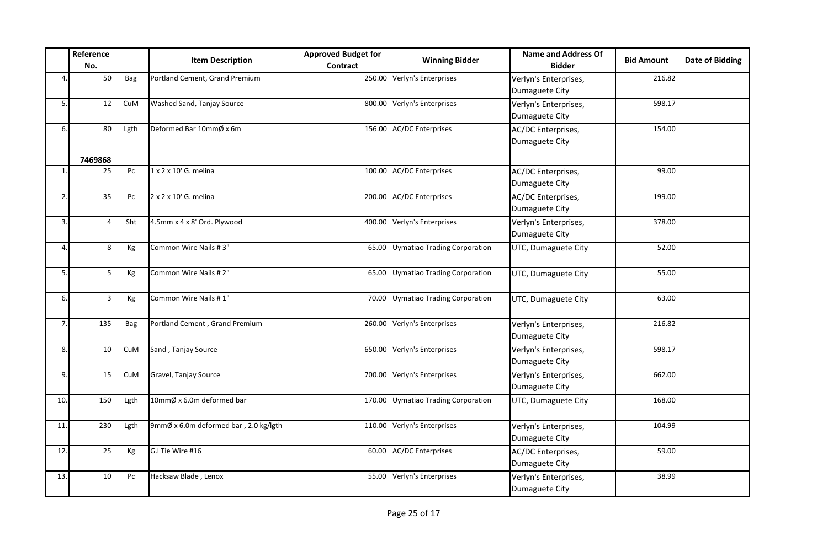|     | Reference<br>No. |      | <b>Item Description</b>               | <b>Approved Budget for</b><br>Contract | <b>Winning Bidder</b>        | <b>Name and Address Of</b><br><b>Bidder</b> | <b>Bid Amount</b> | <b>Date of Bidding</b> |
|-----|------------------|------|---------------------------------------|----------------------------------------|------------------------------|---------------------------------------------|-------------------|------------------------|
| 4.  | 50               | Bag  | Portland Cement, Grand Premium        | 250.00                                 | Verlyn's Enterprises         | Verlyn's Enterprises,<br>Dumaguete City     | 216.82            |                        |
| 5.  | 12               | CuM  | Washed Sand, Tanjay Source            | 800.00                                 | Verlyn's Enterprises         | Verlyn's Enterprises,<br>Dumaguete City     | 598.17            |                        |
| 6.  | 80               | Lgth | Deformed Bar 10mmØ x 6m               |                                        | 156.00 AC/DC Enterprises     | AC/DC Enterprises,<br>Dumaguete City        | 154.00            |                        |
|     | 7469868          |      |                                       |                                        |                              |                                             |                   |                        |
| 1.  | 25               | Pc   | 1 x 2 x 10' G. melina                 |                                        | 100.00 AC/DC Enterprises     | AC/DC Enterprises,<br>Dumaguete City        | 99.00             |                        |
| 2.  | 35               | Pc   | 2 x 2 x 10' G. melina                 |                                        | 200.00 AC/DC Enterprises     | AC/DC Enterprises,<br>Dumaguete City        | 199.00            |                        |
| 3.  |                  | Sht  | 4.5mm x 4 x 8' Ord. Plywood           |                                        | 400.00 Verlyn's Enterprises  | Verlyn's Enterprises,<br>Dumaguete City     | 378.00            |                        |
| 4.  | 8 <sup>1</sup>   | Kg   | Common Wire Nails #3"                 | 65.00                                  | Uymatiao Trading Corporation | UTC, Dumaguete City                         | 52.00             |                        |
| 5.  | 5 <sup>1</sup>   | Kg   | Common Wire Nails #2"                 | 65.00                                  | Uymatiao Trading Corporation | UTC, Dumaguete City                         | 55.00             |                        |
| 6.  | 3                | Kg   | Common Wire Nails #1"                 | 70.00                                  | Uymatiao Trading Corporation | UTC, Dumaguete City                         | 63.00             |                        |
| 7.  | 135              | Bag  | Portland Cement, Grand Premium        |                                        | 260.00 Verlyn's Enterprises  | Verlyn's Enterprises,<br>Dumaguete City     | 216.82            |                        |
| 8.  | 10               | CuM  | Sand, Tanjay Source                   |                                        | 650.00 Verlyn's Enterprises  | Verlyn's Enterprises,<br>Dumaguete City     | 598.17            |                        |
| 9.  | 15               | CuM  | Gravel, Tanjay Source                 |                                        | 700.00 Verlyn's Enterprises  | Verlyn's Enterprises,<br>Dumaguete City     | 662.00            |                        |
| 10. | 150              | Lgth | 10mmØ x 6.0m deformed bar             | 170.00                                 | Uymatiao Trading Corporation | UTC, Dumaguete City                         | 168.00            |                        |
| 11. | 230              | Lgth | 9mmØ x 6.0m deformed bar, 2.0 kg/lgth |                                        | 110.00 Verlyn's Enterprises  | Verlyn's Enterprises,<br>Dumaguete City     | 104.99            |                        |
| 12. | 25               | Kg   | G.I Tie Wire #16                      |                                        | 60.00 AC/DC Enterprises      | AC/DC Enterprises,<br>Dumaguete City        | 59.00             |                        |
| 13. | 10 <sup>1</sup>  | Pc   | Hacksaw Blade, Lenox                  | 55.00                                  | Verlyn's Enterprises         | Verlyn's Enterprises,<br>Dumaguete City     | 38.99             |                        |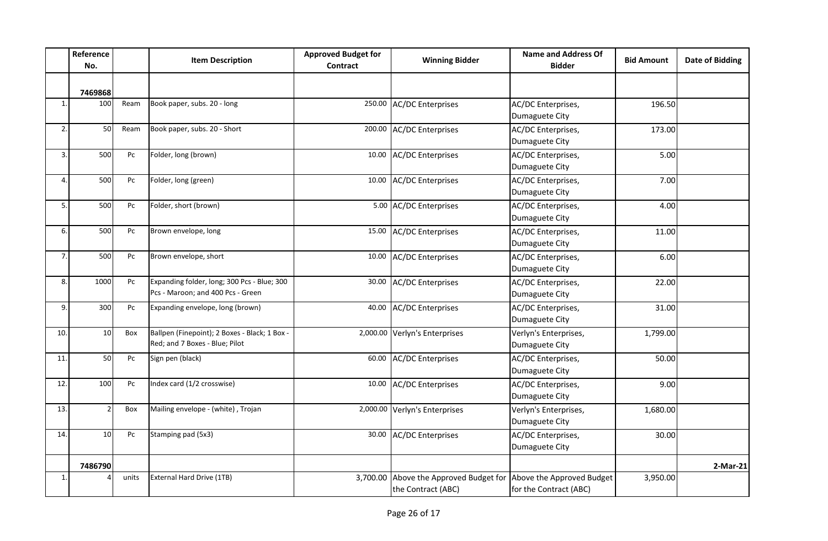|                | Reference<br>No. |       | <b>Item Description</b>                                                          | <b>Approved Budget for</b><br><b>Contract</b> | <b>Winning Bidder</b>                                                                  | <b>Name and Address Of</b><br><b>Bidder</b> | <b>Bid Amount</b> | <b>Date of Bidding</b> |
|----------------|------------------|-------|----------------------------------------------------------------------------------|-----------------------------------------------|----------------------------------------------------------------------------------------|---------------------------------------------|-------------------|------------------------|
|                | 7469868          |       |                                                                                  |                                               |                                                                                        |                                             |                   |                        |
| $\mathbf{1}$ . | 100              | Ream  | Book paper, subs. 20 - long                                                      |                                               | 250.00 AC/DC Enterprises                                                               | AC/DC Enterprises,<br>Dumaguete City        | 196.50            |                        |
| 2.             | 50               | Ream  | Book paper, subs. 20 - Short                                                     |                                               | 200.00 AC/DC Enterprises                                                               | AC/DC Enterprises,<br>Dumaguete City        | 173.00            |                        |
| 3.             | 500              | Pc    | Folder, long (brown)                                                             |                                               | 10.00 AC/DC Enterprises                                                                | AC/DC Enterprises,<br>Dumaguete City        | 5.00              |                        |
| 4.             | 500              | Pc    | Folder, long (green)                                                             |                                               | 10.00 AC/DC Enterprises                                                                | AC/DC Enterprises,<br>Dumaguete City        | 7.00              |                        |
| 5.             | 500              | Pc    | Folder, short (brown)                                                            |                                               | 5.00 AC/DC Enterprises                                                                 | AC/DC Enterprises,<br>Dumaguete City        | 4.00              |                        |
| 6.             | 500              | Pc    | Brown envelope, long                                                             |                                               | 15.00 AC/DC Enterprises                                                                | AC/DC Enterprises,<br>Dumaguete City        | 11.00             |                        |
| 7.             | 500              | Pc    | Brown envelope, short                                                            |                                               | 10.00 AC/DC Enterprises                                                                | AC/DC Enterprises,<br>Dumaguete City        | 6.00              |                        |
| 8.             | 1000             | Pc    | Expanding folder, long; 300 Pcs - Blue; 300<br>Pcs - Maroon; and 400 Pcs - Green |                                               | 30.00 AC/DC Enterprises                                                                | AC/DC Enterprises,<br>Dumaguete City        | 22.00             |                        |
| 9.             | 300              | Pc    | Expanding envelope, long (brown)                                                 |                                               | 40.00 AC/DC Enterprises                                                                | AC/DC Enterprises,<br>Dumaguete City        | 31.00             |                        |
| 10.            | 10               | Box   | Ballpen (Finepoint); 2 Boxes - Black; 1 Box -<br>Red; and 7 Boxes - Blue; Pilot  |                                               | 2,000.00 Verlyn's Enterprises                                                          | Verlyn's Enterprises,<br>Dumaguete City     | 1,799.00          |                        |
| 11.            | 50               | Pc    | Sign pen (black)                                                                 |                                               | 60.00 AC/DC Enterprises                                                                | AC/DC Enterprises,<br>Dumaguete City        | 50.00             |                        |
| 12.            | 100              | Pc    | Index card (1/2 crosswise)                                                       |                                               | 10.00 AC/DC Enterprises                                                                | AC/DC Enterprises,<br>Dumaguete City        | 9.00              |                        |
| 13.            |                  | Box   | Mailing envelope - (white), Trojan                                               |                                               | 2,000.00 Verlyn's Enterprises                                                          | Verlyn's Enterprises,<br>Dumaguete City     | 1,680.00          |                        |
| 14.            | 10               | Pc    | Stamping pad (5x3)                                                               |                                               | 30.00 AC/DC Enterprises                                                                | AC/DC Enterprises,<br>Dumaguete City        | 30.00             |                        |
|                | 7486790          |       |                                                                                  |                                               |                                                                                        |                                             |                   | 2-Mar-21               |
| $\mathbf{1}$   |                  | units | External Hard Drive (1TB)                                                        |                                               | 3,700.00 Above the Approved Budget for Above the Approved Budget<br>the Contract (ABC) | for the Contract (ABC)                      | 3,950.00          |                        |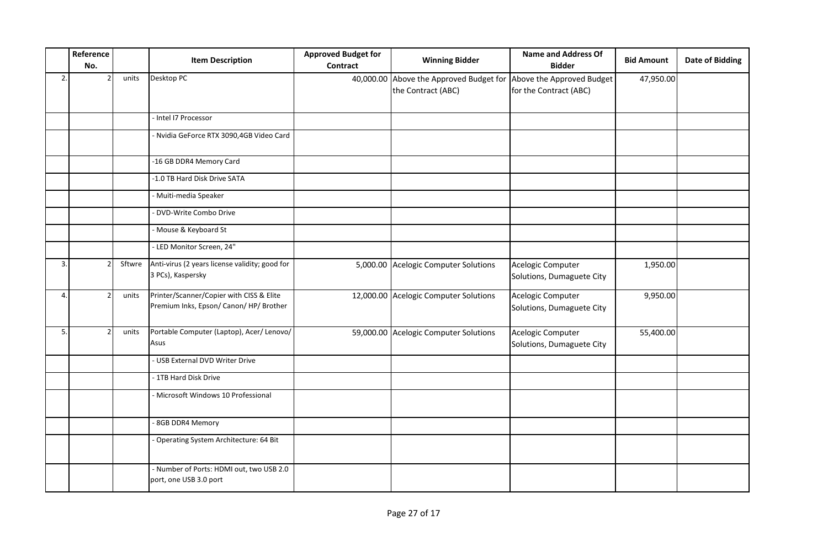|    | Reference<br>No. |        | <b>Item Description</b>                                                            | <b>Approved Budget for</b><br>Contract | <b>Winning Bidder</b>                                                                   | <b>Name and Address Of</b><br><b>Bidder</b>    | <b>Bid Amount</b> | <b>Date of Bidding</b> |
|----|------------------|--------|------------------------------------------------------------------------------------|----------------------------------------|-----------------------------------------------------------------------------------------|------------------------------------------------|-------------------|------------------------|
| 2. |                  | units  | Desktop PC                                                                         |                                        | 40,000.00 Above the Approved Budget for Above the Approved Budget<br>the Contract (ABC) | for the Contract (ABC)                         | 47,950.00         |                        |
|    |                  |        | - Intel I7 Processor                                                               |                                        |                                                                                         |                                                |                   |                        |
|    |                  |        | - Nvidia GeForce RTX 3090,4GB Video Card                                           |                                        |                                                                                         |                                                |                   |                        |
|    |                  |        | -16 GB DDR4 Memory Card                                                            |                                        |                                                                                         |                                                |                   |                        |
|    |                  |        | -1.0 TB Hard Disk Drive SATA                                                       |                                        |                                                                                         |                                                |                   |                        |
|    |                  |        | - Muiti-media Speaker                                                              |                                        |                                                                                         |                                                |                   |                        |
|    |                  |        | DVD-Write Combo Drive                                                              |                                        |                                                                                         |                                                |                   |                        |
|    |                  |        | - Mouse & Keyboard St                                                              |                                        |                                                                                         |                                                |                   |                        |
|    |                  |        | - LED Monitor Screen, 24"                                                          |                                        |                                                                                         |                                                |                   |                        |
| 3. |                  | Sftwre | Anti-virus (2 years license validity; good for<br>3 PCs), Kaspersky                |                                        | 5,000.00 Acelogic Computer Solutions                                                    | Acelogic Computer<br>Solutions, Dumaguete City | 1,950.00          |                        |
| 4. |                  | units  | Printer/Scanner/Copier with CISS & Elite<br>Premium Inks, Epson/ Canon/HP/ Brother |                                        | 12,000.00 Acelogic Computer Solutions                                                   | Acelogic Computer<br>Solutions, Dumaguete City | 9,950.00          |                        |
| 5. |                  | units  | Portable Computer (Laptop), Acer/ Lenovo/<br>Asus                                  |                                        | 59,000.00 Acelogic Computer Solutions                                                   | Acelogic Computer<br>Solutions, Dumaguete City | 55,400.00         |                        |
|    |                  |        | - USB External DVD Writer Drive                                                    |                                        |                                                                                         |                                                |                   |                        |
|    |                  |        | - 1TB Hard Disk Drive                                                              |                                        |                                                                                         |                                                |                   |                        |
|    |                  |        | - Microsoft Windows 10 Professional                                                |                                        |                                                                                         |                                                |                   |                        |
|    |                  |        | - 8GB DDR4 Memory                                                                  |                                        |                                                                                         |                                                |                   |                        |
|    |                  |        | - Operating System Architecture: 64 Bit                                            |                                        |                                                                                         |                                                |                   |                        |
|    |                  |        | - Number of Ports: HDMI out, two USB 2.0<br>port, one USB 3.0 port                 |                                        |                                                                                         |                                                |                   |                        |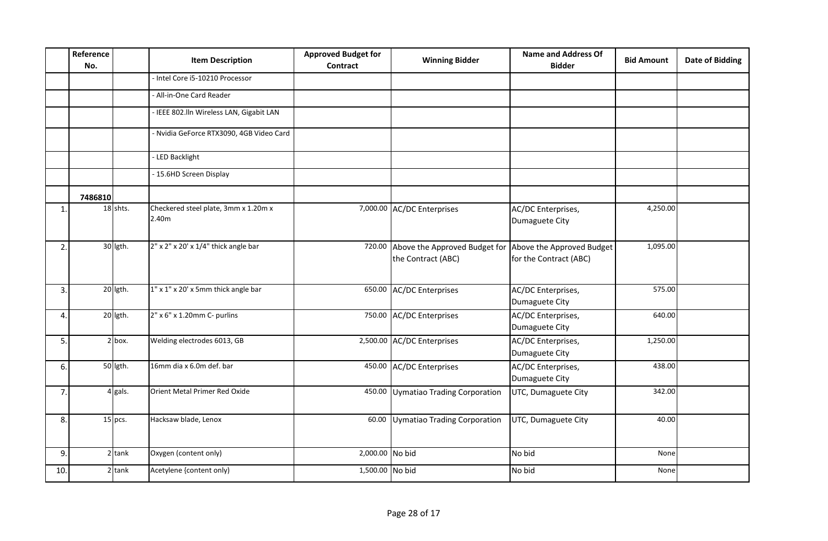|                  | Reference<br>No. |           | <b>Item Description</b>                       | <b>Approved Budget for</b><br><b>Contract</b> | <b>Winning Bidder</b>                               | <b>Name and Address Of</b><br><b>Bidder</b>         | <b>Bid Amount</b> | <b>Date of Bidding</b> |
|------------------|------------------|-----------|-----------------------------------------------|-----------------------------------------------|-----------------------------------------------------|-----------------------------------------------------|-------------------|------------------------|
|                  |                  |           | - Intel Core i5-10210 Processor               |                                               |                                                     |                                                     |                   |                        |
|                  |                  |           | - All-in-One Card Reader                      |                                               |                                                     |                                                     |                   |                        |
|                  |                  |           | - IEEE 802.IIn Wireless LAN, Gigabit LAN      |                                               |                                                     |                                                     |                   |                        |
|                  |                  |           | - Nvidia GeForce RTX3090, 4GB Video Card      |                                               |                                                     |                                                     |                   |                        |
|                  |                  |           | - LED Backlight                               |                                               |                                                     |                                                     |                   |                        |
|                  |                  |           | - 15.6HD Screen Display                       |                                               |                                                     |                                                     |                   |                        |
|                  | 7486810          |           |                                               |                                               |                                                     |                                                     |                   |                        |
| $\mathbf{1}$     |                  | 18 shts.  | Checkered steel plate, 3mm x 1.20m x<br>2.40m |                                               | 7,000.00 AC/DC Enterprises                          | AC/DC Enterprises,<br>Dumaguete City                | 4,250.00          |                        |
| $\overline{2}$ . |                  | 30 lgth.  | $2"$ x $2"$ x $20'$ x $1/4"$ thick angle bar  | 720.00                                        | Above the Approved Budget for<br>the Contract (ABC) | Above the Approved Budget<br>for the Contract (ABC) | 1,095.00          |                        |
| 3.               |                  | 20 lgth.  | 1" x 1" x 20' x 5mm thick angle bar           | 650.00                                        | <b>AC/DC Enterprises</b>                            | AC/DC Enterprises,<br>Dumaguete City                | 575.00            |                        |
| 4.               |                  | 20 lgth.  | 2" x 6" x 1.20mm C- purlins                   | 750.00                                        | <b>AC/DC Enterprises</b>                            | AC/DC Enterprises,<br>Dumaguete City                | 640.00            |                        |
| 5.               |                  | $2$ box.  | Welding electrodes 6013, GB                   |                                               | 2,500.00 AC/DC Enterprises                          | AC/DC Enterprises,<br>Dumaguete City                | 1,250.00          |                        |
| 6.               |                  | 50 lgth.  | 16mm dia x 6.0m def. bar                      | 450.00                                        | <b>AC/DC Enterprises</b>                            | AC/DC Enterprises,<br>Dumaguete City                | 438.00            |                        |
| 7.               |                  | $4$ gals. | Orient Metal Primer Red Oxide                 |                                               | 450.00 Uymatiao Trading Corporation                 | UTC, Dumaguete City                                 | 342.00            |                        |
| 8.               |                  | $15$ pcs. | Hacksaw blade, Lenox                          | 60.00                                         | Uymatiao Trading Corporation                        | UTC, Dumaguete City                                 | 40.00             |                        |
| 9.               |                  | $2$ tank  | Oxygen (content only)                         | 2,000.00 No bid                               |                                                     | No bid                                              | None              |                        |
| 10.              |                  | $2$ tank  | Acetylene {content only)                      | 1,500.00 No bid                               |                                                     | No bid                                              | None              |                        |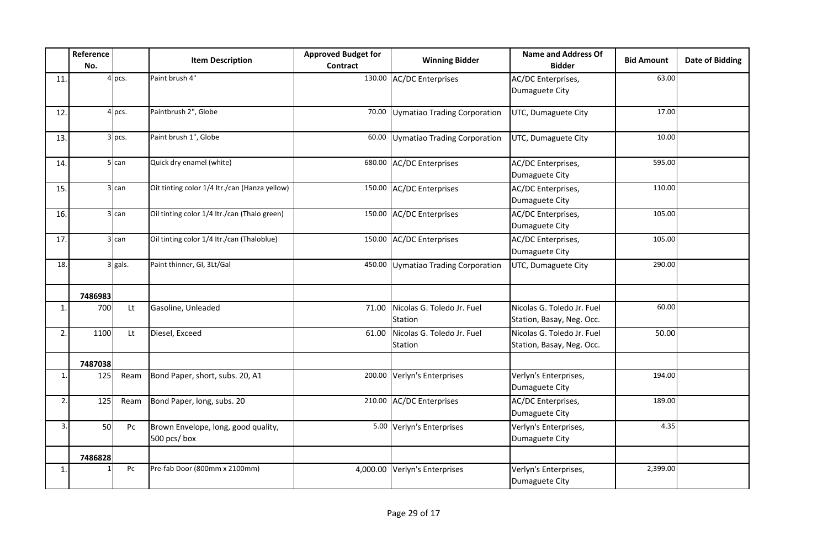|              | Reference<br>No. |           | <b>Item Description</b>                            | <b>Approved Budget for</b><br>Contract | <b>Winning Bidder</b>                 | <b>Name and Address Of</b><br><b>Bidder</b>             | <b>Bid Amount</b> | <b>Date of Bidding</b> |
|--------------|------------------|-----------|----------------------------------------------------|----------------------------------------|---------------------------------------|---------------------------------------------------------|-------------------|------------------------|
| 11.          |                  | $4$ pcs.  | Paint brush 4"                                     |                                        | 130.00 AC/DC Enterprises              | AC/DC Enterprises,<br>Dumaguete City                    | 63.00             |                        |
| 12.          |                  | $4$ pcs.  | Paintbrush 2", Globe                               | 70.00                                  | Uymatiao Trading Corporation          | UTC, Dumaguete City                                     | 17.00             |                        |
| 13.          |                  | $3$ pcs.  | Paint brush 1", Globe                              | 60.00                                  | Uymatiao Trading Corporation          | UTC, Dumaguete City                                     | 10.00             |                        |
| 14.          |                  | $5$ can   | Quick dry enamel (white)                           | 680.00                                 | <b>AC/DC Enterprises</b>              | AC/DC Enterprises,<br>Dumaguete City                    | 595.00            |                        |
| 15.          |                  | $3$ can   | Oit tinting color 1/4 Itr./can (Hanza yellow)      |                                        | 150.00 AC/DC Enterprises              | AC/DC Enterprises,<br>Dumaguete City                    | 110.00            |                        |
| 16.          |                  | $3$ can   | Oil tinting color 1/4 Itr./can (Thalo green)       |                                        | 150.00 AC/DC Enterprises              | AC/DC Enterprises,<br>Dumaguete City                    | 105.00            |                        |
| 17.          |                  | $3$ can   | Oil tinting color 1/4 ltr./can (Thaloblue)         |                                        | 150.00 AC/DC Enterprises              | AC/DC Enterprises,<br>Dumaguete City                    | 105.00            |                        |
| 18.          |                  | $3$ gals. | Paint thinner, GI, 3Lt/Gal                         | 450.00                                 | Uymatiao Trading Corporation          | UTC, Dumaguete City                                     | 290.00            |                        |
|              | 7486983          |           |                                                    |                                        |                                       |                                                         |                   |                        |
| $\mathbf{1}$ | 700              | Lt        | Gasoline, Unleaded                                 | 71.00                                  | Nicolas G. Toledo Jr. Fuel<br>Station | Nicolas G. Toledo Jr. Fuel<br>Station, Basay, Neg. Occ. | 60.00             |                        |
| 2.           | 1100             | Lt        | Diesel, Exceed                                     | 61.00                                  | Nicolas G. Toledo Jr. Fuel<br>Station | Nicolas G. Toledo Jr. Fuel<br>Station, Basay, Neg. Occ. | 50.00             |                        |
|              | 7487038          |           |                                                    |                                        |                                       |                                                         |                   |                        |
| $\mathbf{1}$ | 125              | Ream      | Bond Paper, short, subs. 20, A1                    | 200.00                                 | Verlyn's Enterprises                  | Verlyn's Enterprises,<br>Dumaguete City                 | 194.00            |                        |
| 2.           | 125              | Ream      | Bond Paper, long, subs. 20                         | 210.00                                 | <b>AC/DC Enterprises</b>              | AC/DC Enterprises,<br>Dumaguete City                    | 189.00            |                        |
| 3.           | 50               | Pc        | Brown Envelope, long, good quality,<br>500 pcs/box |                                        | 5.00 Verlyn's Enterprises             | Verlyn's Enterprises,<br>Dumaguete City                 | 4.35              |                        |
|              | 7486828          |           |                                                    |                                        |                                       |                                                         |                   |                        |
| $\mathbf{1}$ |                  | Pc        | Pre-fab Door (800mm x 2100mm)                      |                                        | 4,000.00 Verlyn's Enterprises         | Verlyn's Enterprises,<br>Dumaguete City                 | 2,399.00          |                        |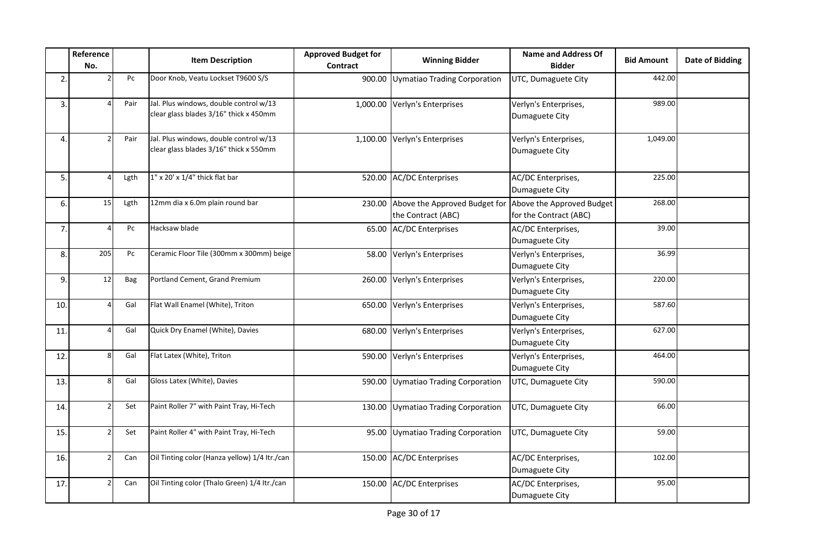|                | Reference<br>No. |      | <b>Item Description</b>                                                          | <b>Approved Budget for</b><br><b>Contract</b> | <b>Winning Bidder</b>                               | <b>Name and Address Of</b><br><b>Bidder</b>         | <b>Bid Amount</b> | <b>Date of Bidding</b> |
|----------------|------------------|------|----------------------------------------------------------------------------------|-----------------------------------------------|-----------------------------------------------------|-----------------------------------------------------|-------------------|------------------------|
| $\overline{2}$ |                  | Pc   | Door Knob, Veatu Lockset T9600 S/S                                               | 900.00                                        | Uymatiao Trading Corporation                        | UTC, Dumaguete City                                 | 442.00            |                        |
| 3.             |                  | Pair | Jal. Plus windows, double control w/13<br>clear glass blades 3/16" thick x 450mm | 1,000.00                                      | Verlyn's Enterprises                                | Verlyn's Enterprises,<br>Dumaguete City             | 989.00            |                        |
| $\overline{4}$ |                  | Pair | Jal. Plus windows, double control w/13<br>clear glass blades 3/16" thick x 550mm |                                               | 1,100.00 Verlyn's Enterprises                       | Verlyn's Enterprises,<br>Dumaguete City             | 1,049.00          |                        |
| 5.             |                  | Lgth | $1''$ x 20' x $1/4''$ thick flat bar                                             |                                               | 520.00 AC/DC Enterprises                            | AC/DC Enterprises,<br>Dumaguete City                | 225.00            |                        |
| 6.             | 15               | Lgth | 12mm dia x 6.0m plain round bar                                                  | 230.00                                        | Above the Approved Budget for<br>the Contract (ABC) | Above the Approved Budget<br>for the Contract (ABC) | 268.00            |                        |
| 7.             |                  | Pc   | Hacksaw blade                                                                    |                                               | 65.00 AC/DC Enterprises                             | AC/DC Enterprises,<br>Dumaguete City                | 39.00             |                        |
| 8.             | 205              | Pc   | Ceramic Floor Tile (300mm x 300mm) beige                                         |                                               | 58.00 Verlyn's Enterprises                          | Verlyn's Enterprises,<br>Dumaguete City             | 36.99             |                        |
| 9.             | 12               | Bag  | Portland Cement, Grand Premium                                                   |                                               | 260.00 Verlyn's Enterprises                         | Verlyn's Enterprises,<br>Dumaguete City             | 220.00            |                        |
| 10.            |                  | Gal  | Flat Wall Enamel (White), Triton                                                 | 650.00                                        | Verlyn's Enterprises                                | Verlyn's Enterprises,<br>Dumaguete City             | 587.60            |                        |
| 11.            |                  | Gal  | Quick Dry Enamel (White), Davies                                                 | 680.00                                        | Verlyn's Enterprises                                | Verlyn's Enterprises,<br>Dumaguete City             | 627.00            |                        |
| 12.            | 8                | Gal  | Flat Latex (White), Triton                                                       |                                               | 590.00 Verlyn's Enterprises                         | Verlyn's Enterprises,<br>Dumaguete City             | 464.00            |                        |
| 13.            | 8                | Gal  | Gloss Latex (White), Davies                                                      |                                               | 590.00 Uymatiao Trading Corporation                 | UTC, Dumaguete City                                 | 590.00            |                        |
| 14.            |                  | Set  | Paint Roller 7" with Paint Tray, Hi-Tech                                         |                                               | 130.00 Uymatiao Trading Corporation                 | UTC, Dumaguete City                                 | 66.00             |                        |
| 15.            |                  | Set  | Paint Roller 4" with Paint Tray, Hi-Tech                                         |                                               | 95.00 Uymatiao Trading Corporation                  | UTC, Dumaguete City                                 | 59.00             |                        |
| 16.            |                  | Can  | Oil Tinting color (Hanza yellow) 1/4 ltr./can                                    |                                               | 150.00 AC/DC Enterprises                            | AC/DC Enterprises,<br>Dumaguete City                | 102.00            |                        |
| 17.            |                  | Can  | Oil Tinting color (Thalo Green) 1/4 Itr./can                                     |                                               | 150.00 AC/DC Enterprises                            | AC/DC Enterprises,<br>Dumaguete City                | 95.00             |                        |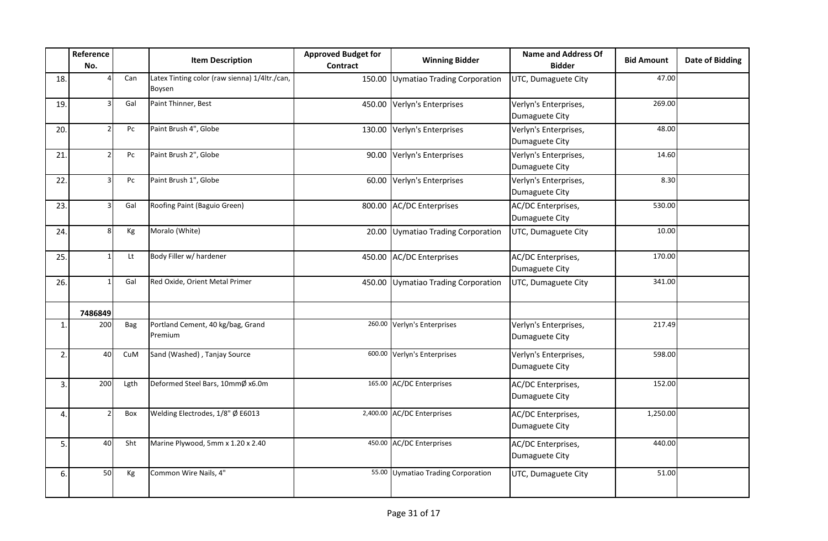|                | Reference<br>No. |      | <b>Item Description</b>                                 | <b>Approved Budget for</b><br><b>Contract</b> | <b>Winning Bidder</b>               | <b>Name and Address Of</b><br><b>Bidder</b> | <b>Bid Amount</b> | <b>Date of Bidding</b> |
|----------------|------------------|------|---------------------------------------------------------|-----------------------------------------------|-------------------------------------|---------------------------------------------|-------------------|------------------------|
| 18.            |                  | Can  | Latex Tinting color (raw sienna) 1/4ltr./can,<br>Boysen |                                               | 150.00 Uymatiao Trading Corporation | UTC, Dumaguete City                         | 47.00             |                        |
| 19.            | 3                | Gal  | Paint Thinner, Best                                     |                                               | 450.00 Verlyn's Enterprises         | Verlyn's Enterprises,<br>Dumaguete City     | 269.00            |                        |
| 20.            | $\mathcal{P}$    | Pc   | Paint Brush 4", Globe                                   |                                               | 130.00 Verlyn's Enterprises         | Verlyn's Enterprises,<br>Dumaguete City     | 48.00             |                        |
| 21             |                  | Pc   | Paint Brush 2", Globe                                   |                                               | 90.00 Verlyn's Enterprises          | Verlyn's Enterprises,<br>Dumaguete City     | 14.60             |                        |
| 22.            |                  | Pc   | Paint Brush 1", Globe                                   |                                               | 60.00 Verlyn's Enterprises          | Verlyn's Enterprises,<br>Dumaguete City     | 8.30              |                        |
| 23.            |                  | Gal  | Roofing Paint (Baguio Green)                            |                                               | 800.00 AC/DC Enterprises            | AC/DC Enterprises,<br>Dumaguete City        | 530.00            |                        |
| 24.            | 8                | Кg   | Moralo (White)                                          |                                               | 20.00 Uymatiao Trading Corporation  | UTC, Dumaguete City                         | 10.00             |                        |
| 25.            |                  | Lt   | Body Filler w/ hardener                                 |                                               | 450.00 AC/DC Enterprises            | AC/DC Enterprises,<br>Dumaguete City        | 170.00            |                        |
| 26.            |                  | Gal  | Red Oxide, Orient Metal Primer                          |                                               | 450.00 Uymatiao Trading Corporation | UTC, Dumaguete City                         | 341.00            |                        |
|                | 7486849          |      |                                                         |                                               |                                     |                                             |                   |                        |
| $\mathbf{1}$   | 200              | Bag  | Portland Cement, 40 kg/bag, Grand<br>Premium            |                                               | 260.00 Verlyn's Enterprises         | Verlyn's Enterprises,<br>Dumaguete City     | 217.49            |                        |
| $\overline{2}$ | 40               | CuM  | Sand (Washed), Tanjay Source                            |                                               | 600.00 Verlyn's Enterprises         | Verlyn's Enterprises,<br>Dumaguete City     | 598.00            |                        |
| 3.             | 200              | Lgth | Deformed Steel Bars, 10mmØ x6.0m                        |                                               | 165.00 AC/DC Enterprises            | AC/DC Enterprises,<br>Dumaguete City        | 152.00            |                        |
| 4.             |                  | Box  | Welding Electrodes, 1/8" Ø E6013                        |                                               | 2,400.00 AC/DC Enterprises          | AC/DC Enterprises,<br>Dumaguete City        | 1,250.00          |                        |
| 5.             | 40               | Sht  | Marine Plywood, 5mm x 1.20 x 2.40                       |                                               | 450.00 AC/DC Enterprises            | AC/DC Enterprises,<br>Dumaguete City        | 440.00            |                        |
| 6.             | 50               | Кg   | Common Wire Nails, 4"                                   |                                               | 55.00 Uymatiao Trading Corporation  | UTC, Dumaguete City                         | 51.00             |                        |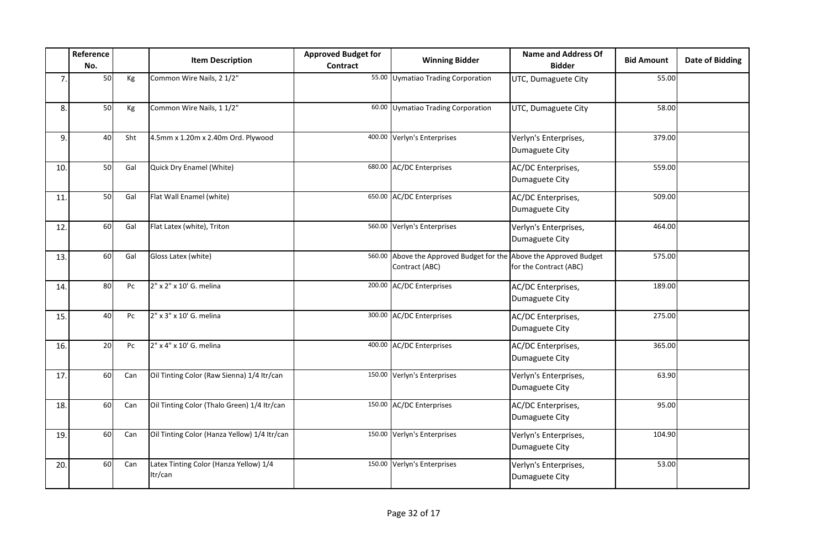|     | Reference<br>No. |     | <b>Item Description</b>                           | <b>Approved Budget for</b><br><b>Contract</b> | <b>Winning Bidder</b>                                                                | <b>Name and Address Of</b><br><b>Bidder</b> | <b>Bid Amount</b> | <b>Date of Bidding</b> |
|-----|------------------|-----|---------------------------------------------------|-----------------------------------------------|--------------------------------------------------------------------------------------|---------------------------------------------|-------------------|------------------------|
| 7.  | 50               | Кg  | Common Wire Nails, 2 1/2"                         |                                               | 55.00 Uymatiao Trading Corporation                                                   | UTC, Dumaguete City                         | 55.00             |                        |
| 8.  | 50               | Kg  | Common Wire Nails, 1 1/2"                         |                                               | 60.00 Uymatiao Trading Corporation                                                   | UTC, Dumaguete City                         | 58.00             |                        |
| 9.  | 40               | Sht | 4.5mm x 1.20m x 2.40m Ord. Plywood                |                                               | 400.00 Verlyn's Enterprises                                                          | Verlyn's Enterprises,<br>Dumaguete City     | 379.00            |                        |
| 10. | 50               | Gal | Quick Dry Enamel (White)                          |                                               | 680.00 AC/DC Enterprises                                                             | AC/DC Enterprises,<br>Dumaguete City        | 559.00            |                        |
| 11. | 50               | Gal | Flat Wall Enamel (white)                          |                                               | 650.00 AC/DC Enterprises                                                             | AC/DC Enterprises,<br>Dumaguete City        | 509.00            |                        |
| 12. | 60               | Gal | Flat Latex (white), Triton                        |                                               | 560.00 Verlyn's Enterprises                                                          | Verlyn's Enterprises,<br>Dumaguete City     | 464.00            |                        |
| 13. | 60               | Gal | Gloss Latex (white)                               |                                               | 560.00 Above the Approved Budget for the Above the Approved Budget<br>Contract (ABC) | for the Contract (ABC)                      | 575.00            |                        |
| 14. | 80               | Pc  | 2" x 2" x 10' G. melina                           |                                               | 200.00 AC/DC Enterprises                                                             | AC/DC Enterprises,<br>Dumaguete City        | 189.00            |                        |
| 15. | 40               | Pc  | 2" x 3" x 10' G. melina                           |                                               | 300.00 AC/DC Enterprises                                                             | AC/DC Enterprises,<br>Dumaguete City        | 275.00            |                        |
| 16. | 20               | Pc  | 2" x 4" x 10' G. melina                           |                                               | 400.00 AC/DC Enterprises                                                             | AC/DC Enterprises,<br>Dumaguete City        | 365.00            |                        |
| 17. | 60               | Can | Oil Tinting Color (Raw Sienna) 1/4 Itr/can        |                                               | 150.00 Verlyn's Enterprises                                                          | Verlyn's Enterprises,<br>Dumaguete City     | 63.90             |                        |
| 18. | 60               | Can | Oil Tinting Color (Thalo Green) 1/4 Itr/can       |                                               | 150.00 AC/DC Enterprises                                                             | AC/DC Enterprises,<br>Dumaguete City        | 95.00             |                        |
| 19. | 60               | Can | Oil Tinting Color (Hanza Yellow) 1/4 Itr/can      |                                               | 150.00 Verlyn's Enterprises                                                          | Verlyn's Enterprises,<br>Dumaguete City     | 104.90            |                        |
| 20. | 60               | Can | Latex Tinting Color (Hanza Yellow) 1/4<br>Itr/can |                                               | 150.00 Verlyn's Enterprises                                                          | Verlyn's Enterprises,<br>Dumaguete City     | 53.00             |                        |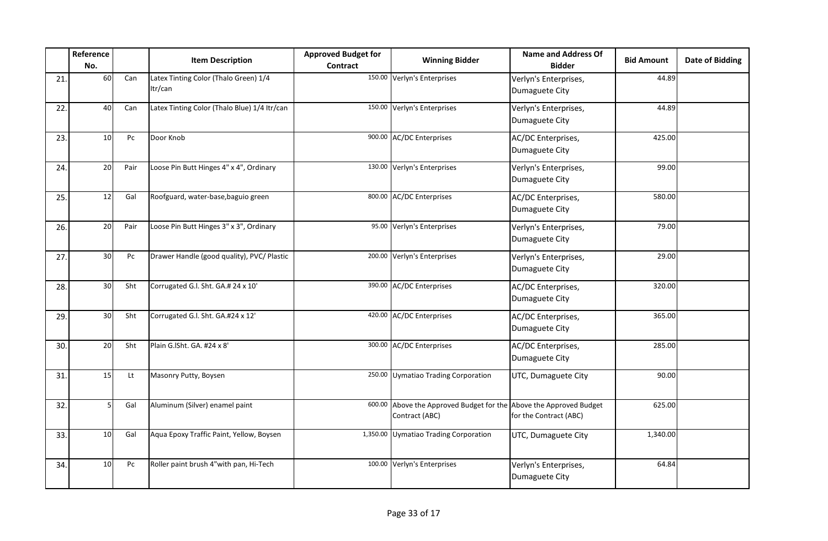|     | Reference<br>No. |      | <b>Item Description</b>                          | <b>Approved Budget for</b><br><b>Contract</b> | <b>Winning Bidder</b>                                                         | <b>Name and Address Of</b><br><b>Bidder</b> | <b>Bid Amount</b> | <b>Date of Bidding</b> |
|-----|------------------|------|--------------------------------------------------|-----------------------------------------------|-------------------------------------------------------------------------------|---------------------------------------------|-------------------|------------------------|
| 21. | 60               | Can  | Latex Tinting Color (Thalo Green) 1/4<br>Itr/can |                                               | 150.00 Verlyn's Enterprises                                                   | Verlyn's Enterprises,<br>Dumaguete City     | 44.89             |                        |
| 22. | 40               | Can  | Latex Tinting Color (Thalo Blue) 1/4 ltr/can     | 150.00                                        | Verlyn's Enterprises                                                          | Verlyn's Enterprises,<br>Dumaguete City     | 44.89             |                        |
| 23. | 10 <sup>1</sup>  | Pc   | Door Knob                                        |                                               | 900.00 AC/DC Enterprises                                                      | AC/DC Enterprises,<br>Dumaguete City        | 425.00            |                        |
| 24. | 20               | Pair | Loose Pin Butt Hinges 4" x 4", Ordinary          |                                               | 130.00 Verlyn's Enterprises                                                   | Verlyn's Enterprises,<br>Dumaguete City     | 99.00             |                        |
| 25. | 12               | Gal  | Roofguard, water-base, baguio green              |                                               | 800.00 AC/DC Enterprises                                                      | AC/DC Enterprises,<br>Dumaguete City        | 580.00            |                        |
| 26. | 20               | Pair | Loose Pin Butt Hinges 3" x 3", Ordinary          |                                               | 95.00 Verlyn's Enterprises                                                    | Verlyn's Enterprises,<br>Dumaguete City     | 79.00             |                        |
| 27. | 30               | Pc   | Drawer Handle (good quality), PVC/ Plastic       |                                               | 200.00 Verlyn's Enterprises                                                   | Verlyn's Enterprises,<br>Dumaguete City     | 29.00             |                        |
| 28. | 30               | Sht  | Corrugated G.I. Sht. GA.# 24 x 10'               |                                               | 390.00 AC/DC Enterprises                                                      | AC/DC Enterprises,<br>Dumaguete City        | 320.00            |                        |
| 29. | 30               | Sht  | Corrugated G.I. Sht. GA.#24 x 12'                |                                               | 420.00 AC/DC Enterprises                                                      | AC/DC Enterprises,<br>Dumaguete City        | 365.00            |                        |
| 30. | 20               | Sht  | Plain G.ISht. GA. #24 x 8'                       |                                               | 300.00 AC/DC Enterprises                                                      | AC/DC Enterprises,<br>Dumaguete City        | 285.00            |                        |
| 31. | 15               | Lt   | Masonry Putty, Boysen                            |                                               | 250.00 Uymatiao Trading Corporation                                           | UTC, Dumaguete City                         | 90.00             |                        |
| 32. |                  | Gal  | Aluminum (Silver) enamel paint                   | 600.00                                        | Above the Approved Budget for the Above the Approved Budget<br>Contract (ABC) | for the Contract (ABC)                      | 625.00            |                        |
| 33. | 10 <sup>1</sup>  | Gal  | Aqua Epoxy Traffic Paint, Yellow, Boysen         |                                               | 1,350.00 Uymatiao Trading Corporation                                         | UTC, Dumaguete City                         | 1,340.00          |                        |
| 34. | 10 <sup>1</sup>  | Pc   | Roller paint brush 4"with pan, Hi-Tech           |                                               | 100.00 Verlyn's Enterprises                                                   | Verlyn's Enterprises,<br>Dumaguete City     | 64.84             |                        |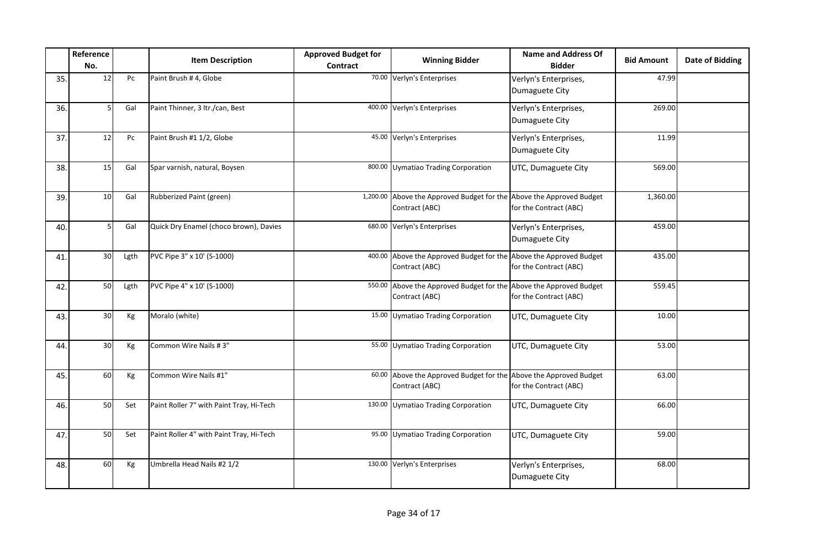|     | Reference<br>No. |      | <b>Item Description</b>                  | <b>Approved Budget for</b><br><b>Contract</b> | <b>Winning Bidder</b>                                                                  | <b>Name and Address Of</b><br><b>Bidder</b> | <b>Bid Amount</b> | <b>Date of Bidding</b> |
|-----|------------------|------|------------------------------------------|-----------------------------------------------|----------------------------------------------------------------------------------------|---------------------------------------------|-------------------|------------------------|
| 35. | 12               | Pc   | Paint Brush #4, Globe                    |                                               | 70.00 Verlyn's Enterprises                                                             | Verlyn's Enterprises,<br>Dumaguete City     | 47.99             |                        |
| 36. |                  | Gal  | Paint Thinner, 3 ltr./can, Best          |                                               | 400.00 Verlyn's Enterprises                                                            | Verlyn's Enterprises,<br>Dumaguete City     | 269.00            |                        |
| 37. | 12               | Pc   | Paint Brush #1 1/2, Globe                |                                               | 45.00 Verlyn's Enterprises                                                             | Verlyn's Enterprises,<br>Dumaguete City     | 11.99             |                        |
| 38. | 15               | Gal  | Spar varnish, natural, Boysen            |                                               | 800.00 Uymatiao Trading Corporation                                                    | UTC, Dumaguete City                         | 569.00            |                        |
| 39. | 10 <sup>1</sup>  | Gal  | Rubberized Paint (green)                 |                                               | 1,200.00 Above the Approved Budget for the Above the Approved Budget<br>Contract (ABC) | for the Contract (ABC)                      | 1,360.00          |                        |
| 40. |                  | Gal  | Quick Dry Enamel (choco brown), Davies   |                                               | 680.00 Verlyn's Enterprises                                                            | Verlyn's Enterprises,<br>Dumaguete City     | 459.00            |                        |
| 41. | 30 <sup>1</sup>  | Lgth | PVC Pipe 3" x 10' (S-1000)               |                                               | 400.00 Above the Approved Budget for the Above the Approved Budget<br>Contract (ABC)   | for the Contract (ABC)                      | 435.00            |                        |
| 42. | 50               | Lgth | PVC Pipe 4" x 10' (S-1000)               |                                               | 550.00 Above the Approved Budget for the Above the Approved Budget<br>Contract (ABC)   | for the Contract (ABC)                      | 559.45            |                        |
| 43. | 30 <sup>1</sup>  | Kg   | Moralo (white)                           |                                               | 15.00 Uymatiao Trading Corporation                                                     | UTC, Dumaguete City                         | 10.00             |                        |
| 44. | 30 <sub>o</sub>  | Кg   | Common Wire Nails #3"                    |                                               | 55.00 Uymatiao Trading Corporation                                                     | UTC, Dumaguete City                         | 53.00             |                        |
| 45. | 60               | Kg   | Common Wire Nails #1"                    |                                               | 60.00 Above the Approved Budget for the Above the Approved Budget<br>Contract (ABC)    | for the Contract (ABC)                      | 63.00             |                        |
| 46. | 50               | Set  | Paint Roller 7" with Paint Tray, Hi-Tech |                                               | 130.00 Uymatiao Trading Corporation                                                    | UTC, Dumaguete City                         | 66.00             |                        |
| 47. | 50               | Set  | Paint Roller 4" with Paint Tray, Hi-Tech |                                               | 95.00 Uymatiao Trading Corporation                                                     | UTC, Dumaguete City                         | 59.00             |                        |
| 48. | 60               | Кg   | Umbrella Head Nails #2 1/2               |                                               | 130.00 Verlyn's Enterprises                                                            | Verlyn's Enterprises,<br>Dumaguete City     | 68.00             |                        |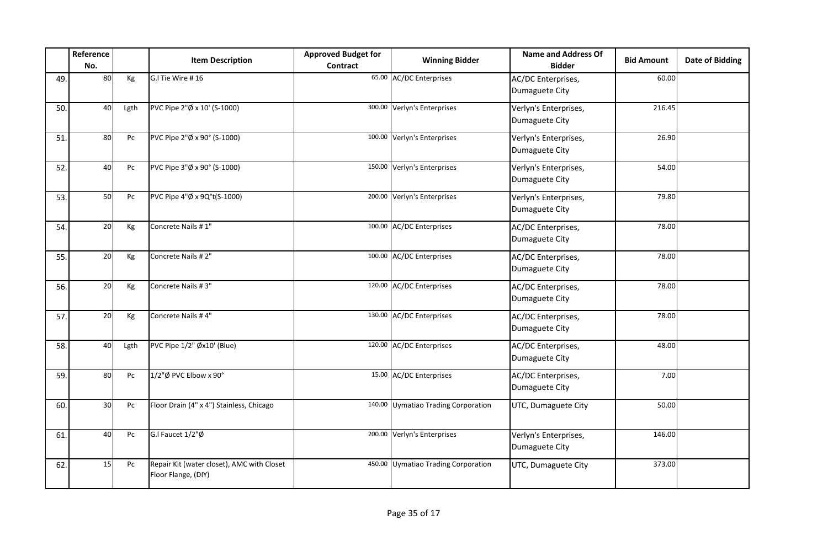|     | Reference<br>No. |      | <b>Item Description</b>                                           | <b>Approved Budget for</b><br><b>Contract</b> | <b>Winning Bidder</b>               | <b>Name and Address Of</b><br><b>Bidder</b> | <b>Bid Amount</b> | <b>Date of Bidding</b> |
|-----|------------------|------|-------------------------------------------------------------------|-----------------------------------------------|-------------------------------------|---------------------------------------------|-------------------|------------------------|
| 49. | 80               | Кg   | G.I Tie Wire #16                                                  |                                               | 65.00 AC/DC Enterprises             | AC/DC Enterprises,<br>Dumaguete City        | 60.00             |                        |
| 50. | 40               | Lgth | PVC Pipe 2"Ø x 10' (S-1000)                                       |                                               | 300.00 Verlyn's Enterprises         | Verlyn's Enterprises,<br>Dumaguete City     | 216.45            |                        |
| 51. | 80               | Pc   | PVC Pipe 2"Ø x 90° (S-1000)                                       |                                               | 100.00 Verlyn's Enterprises         | Verlyn's Enterprises,<br>Dumaguete City     | 26.90             |                        |
| 52. | 40               | Pc   | PVC Pipe 3"Ø x 90° (S-1000)                                       |                                               | 150.00 Verlyn's Enterprises         | Verlyn's Enterprises,<br>Dumaguete City     | 54.00             |                        |
| 53. | 50               | Pc   | PVC Pipe 4"Ø x 9Q°t(S-1000)                                       |                                               | 200.00 Verlyn's Enterprises         | Verlyn's Enterprises,<br>Dumaguete City     | 79.80             |                        |
| 54. | 20               | Kg   | Concrete Nails #1"                                                |                                               | 100.00 AC/DC Enterprises            | AC/DC Enterprises,<br>Dumaguete City        | 78.00             |                        |
| 55. | 20               | Kg   | Concrete Nails #2"                                                |                                               | 100.00 AC/DC Enterprises            | AC/DC Enterprises,<br>Dumaguete City        | 78.00             |                        |
| 56. | 20               | Kg   | Concrete Nails #3"                                                |                                               | 120.00 AC/DC Enterprises            | AC/DC Enterprises,<br>Dumaguete City        | 78.00             |                        |
| 57. | 20               | Кg   | Concrete Nails #4"                                                |                                               | 130.00 AC/DC Enterprises            | AC/DC Enterprises,<br>Dumaguete City        | 78.00             |                        |
| 58. | 40               | Lgth | PVC Pipe 1/2" Øx10' (Blue)                                        |                                               | 120.00 AC/DC Enterprises            | AC/DC Enterprises,<br>Dumaguete City        | 48.00             |                        |
| 59. | 80               | Pc   | 1/2"Ø PVC Elbow x 90°                                             |                                               | 15.00 AC/DC Enterprises             | AC/DC Enterprises,<br>Dumaguete City        | 7.00              |                        |
| 60. | 30 <sup>1</sup>  | Pc   | Floor Drain (4" x 4") Stainless, Chicago                          |                                               | 140.00 Uymatiao Trading Corporation | UTC, Dumaguete City                         | 50.00             |                        |
| 61. | 40               | Pc   | G.I Faucet 1/2"Ø                                                  |                                               | 200.00 Verlyn's Enterprises         | Verlyn's Enterprises,<br>Dumaguete City     | 146.00            |                        |
| 62. | 15               | Pc   | Repair Kit (water closet), AMC with Closet<br>Floor Flange, (DIY) |                                               | 450.00 Uymatiao Trading Corporation | UTC, Dumaguete City                         | 373.00            |                        |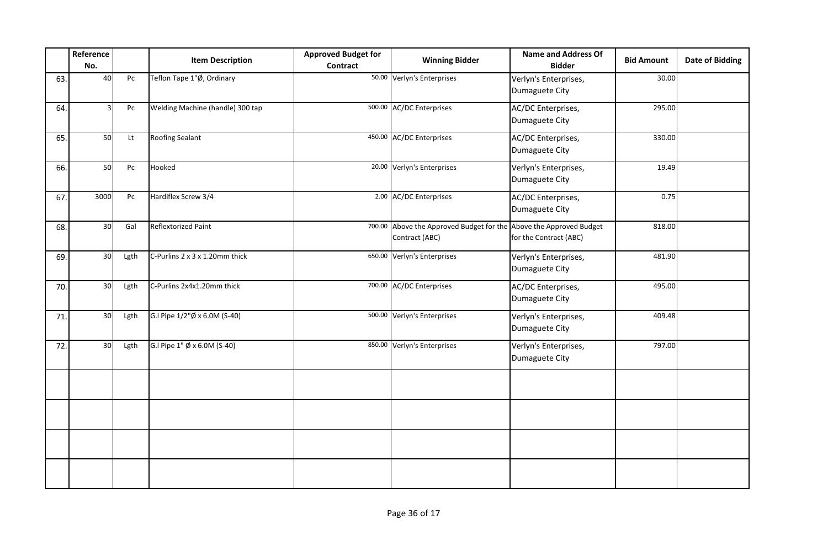|     | Reference<br>No. |      | <b>Item Description</b>                  | <b>Approved Budget for</b><br><b>Contract</b> | <b>Winning Bidder</b>                                                                | <b>Name and Address Of</b><br><b>Bidder</b> | <b>Bid Amount</b> | <b>Date of Bidding</b> |
|-----|------------------|------|------------------------------------------|-----------------------------------------------|--------------------------------------------------------------------------------------|---------------------------------------------|-------------------|------------------------|
| 63. | 40               | Pc   | Teflon Tape 1"Ø, Ordinary                |                                               | 50.00 Verlyn's Enterprises                                                           | Verlyn's Enterprises,<br>Dumaguete City     | 30.00             |                        |
| 64. | 3                | Pc   | Welding Machine (handle) 300 tap         |                                               | 500.00 AC/DC Enterprises                                                             | AC/DC Enterprises,<br>Dumaguete City        | 295.00            |                        |
| 65. | 50               | Lt   | Roofing Sealant                          |                                               | 450.00 AC/DC Enterprises                                                             | AC/DC Enterprises,<br>Dumaguete City        | 330.00            |                        |
| 66. | 50               | Pc   | Hooked                                   |                                               | 20.00 Verlyn's Enterprises                                                           | Verlyn's Enterprises,<br>Dumaguete City     | 19.49             |                        |
| 67. | 3000             | Pc   | Hardiflex Screw 3/4                      |                                               | 2.00 AC/DC Enterprises                                                               | AC/DC Enterprises,<br>Dumaguete City        | 0.75              |                        |
| 68. | 30 <sub>o</sub>  | Gal  | Reflextorized Paint                      |                                               | 700.00 Above the Approved Budget for the Above the Approved Budget<br>Contract (ABC) | for the Contract (ABC)                      | 818.00            |                        |
| 69. | 30 <sub>o</sub>  | Lgth | C-Purlins 2 x 3 x 1.20mm thick           |                                               | 650.00 Verlyn's Enterprises                                                          | Verlyn's Enterprises,<br>Dumaguete City     | 481.90            |                        |
| 70. | 30 <sub>o</sub>  | Lgth | C-Purlins 2x4x1.20mm thick               |                                               | 700.00 AC/DC Enterprises                                                             | AC/DC Enterprises,<br>Dumaguete City        | 495.00            |                        |
| 71. | 30 <sub>2</sub>  | Lgth | G.I Pipe 1/2"Ø x 6.0M (S-40)             |                                               | 500.00 Verlyn's Enterprises                                                          | Verlyn's Enterprises,<br>Dumaguete City     | 409.48            |                        |
| 72. | 30               | Lgth | G.I Pipe $1''$ $\emptyset$ x 6.0M (S-40) |                                               | 850.00 Verlyn's Enterprises                                                          | Verlyn's Enterprises,<br>Dumaguete City     | 797.00            |                        |
|     |                  |      |                                          |                                               |                                                                                      |                                             |                   |                        |
|     |                  |      |                                          |                                               |                                                                                      |                                             |                   |                        |
|     |                  |      |                                          |                                               |                                                                                      |                                             |                   |                        |
|     |                  |      |                                          |                                               |                                                                                      |                                             |                   |                        |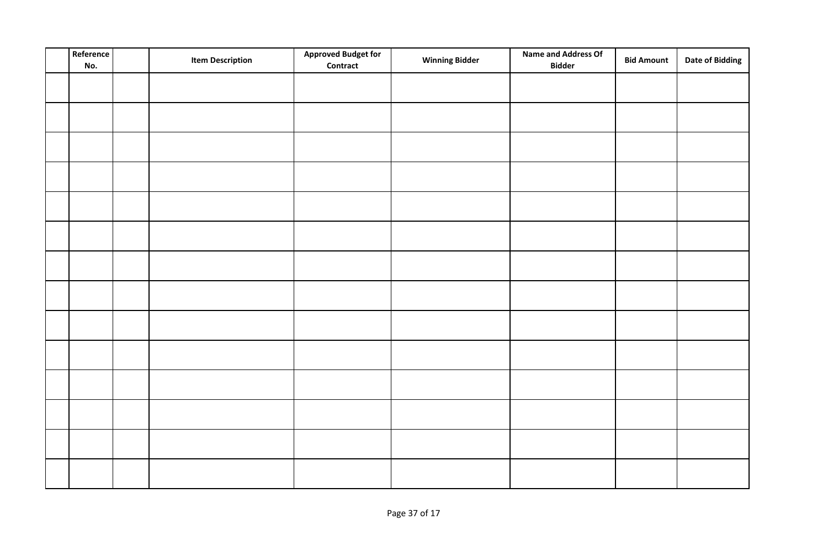| Reference<br>No. | <b>Item Description</b> | <b>Approved Budget for</b><br><b>Contract</b> | <b>Winning Bidder</b> | <b>Name and Address Of</b><br><b>Bidder</b> | <b>Bid Amount</b> | <b>Date of Bidding</b> |
|------------------|-------------------------|-----------------------------------------------|-----------------------|---------------------------------------------|-------------------|------------------------|
|                  |                         |                                               |                       |                                             |                   |                        |
|                  |                         |                                               |                       |                                             |                   |                        |
|                  |                         |                                               |                       |                                             |                   |                        |
|                  |                         |                                               |                       |                                             |                   |                        |
|                  |                         |                                               |                       |                                             |                   |                        |
|                  |                         |                                               |                       |                                             |                   |                        |
|                  |                         |                                               |                       |                                             |                   |                        |
|                  |                         |                                               |                       |                                             |                   |                        |
|                  |                         |                                               |                       |                                             |                   |                        |
|                  |                         |                                               |                       |                                             |                   |                        |
|                  |                         |                                               |                       |                                             |                   |                        |
|                  |                         |                                               |                       |                                             |                   |                        |
|                  |                         |                                               |                       |                                             |                   |                        |
|                  |                         |                                               |                       |                                             |                   |                        |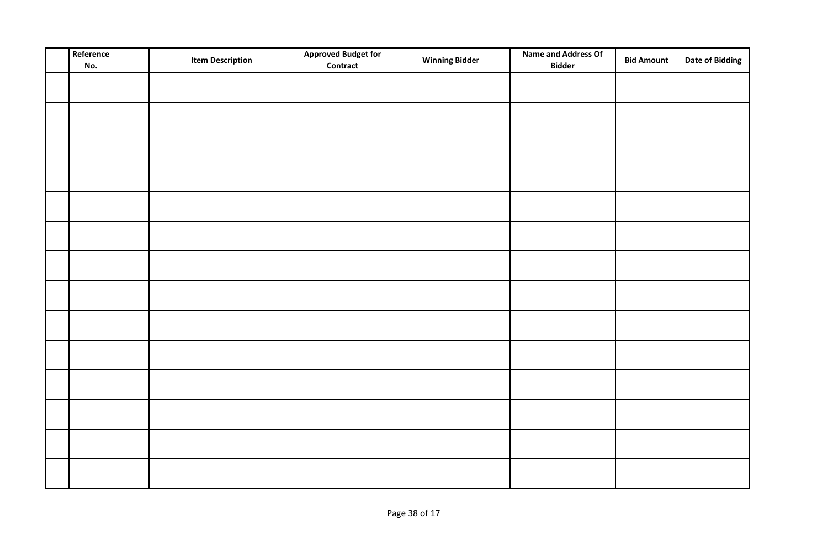| Reference<br>No. | <b>Item Description</b> | <b>Approved Budget for</b><br><b>Contract</b> | <b>Winning Bidder</b> | Name and Address Of<br><b>Bidder</b> | <b>Bid Amount</b> | <b>Date of Bidding</b> |
|------------------|-------------------------|-----------------------------------------------|-----------------------|--------------------------------------|-------------------|------------------------|
|                  |                         |                                               |                       |                                      |                   |                        |
|                  |                         |                                               |                       |                                      |                   |                        |
|                  |                         |                                               |                       |                                      |                   |                        |
|                  |                         |                                               |                       |                                      |                   |                        |
|                  |                         |                                               |                       |                                      |                   |                        |
|                  |                         |                                               |                       |                                      |                   |                        |
|                  |                         |                                               |                       |                                      |                   |                        |
|                  |                         |                                               |                       |                                      |                   |                        |
|                  |                         |                                               |                       |                                      |                   |                        |
|                  |                         |                                               |                       |                                      |                   |                        |
|                  |                         |                                               |                       |                                      |                   |                        |
|                  |                         |                                               |                       |                                      |                   |                        |
|                  |                         |                                               |                       |                                      |                   |                        |
|                  |                         |                                               |                       |                                      |                   |                        |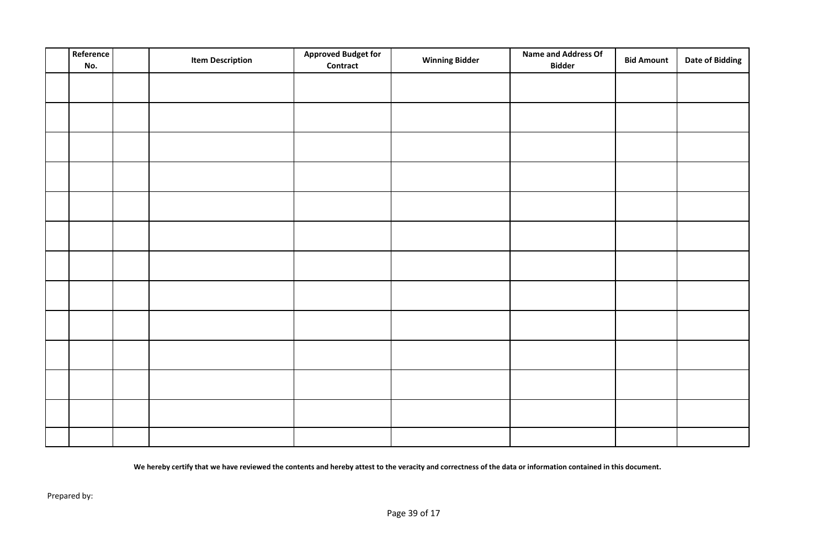| Reference<br>No. | <b>Item Description</b> | <b>Approved Budget for</b><br>Contract | <b>Winning Bidder</b> | <b>Name and Address Of</b><br><b>Bidder</b> | <b>Bid Amount</b> | <b>Date of Bidding</b> |
|------------------|-------------------------|----------------------------------------|-----------------------|---------------------------------------------|-------------------|------------------------|
|                  |                         |                                        |                       |                                             |                   |                        |
|                  |                         |                                        |                       |                                             |                   |                        |
|                  |                         |                                        |                       |                                             |                   |                        |
|                  |                         |                                        |                       |                                             |                   |                        |
|                  |                         |                                        |                       |                                             |                   |                        |
|                  |                         |                                        |                       |                                             |                   |                        |
|                  |                         |                                        |                       |                                             |                   |                        |
|                  |                         |                                        |                       |                                             |                   |                        |
|                  |                         |                                        |                       |                                             |                   |                        |
|                  |                         |                                        |                       |                                             |                   |                        |
|                  |                         |                                        |                       |                                             |                   |                        |
|                  |                         |                                        |                       |                                             |                   |                        |
|                  |                         |                                        |                       |                                             |                   |                        |
|                  |                         |                                        |                       |                                             |                   |                        |

**We hereby certify that we have reviewed the contents and hereby attest to the veracity and correctness of the data or information contained in this document.**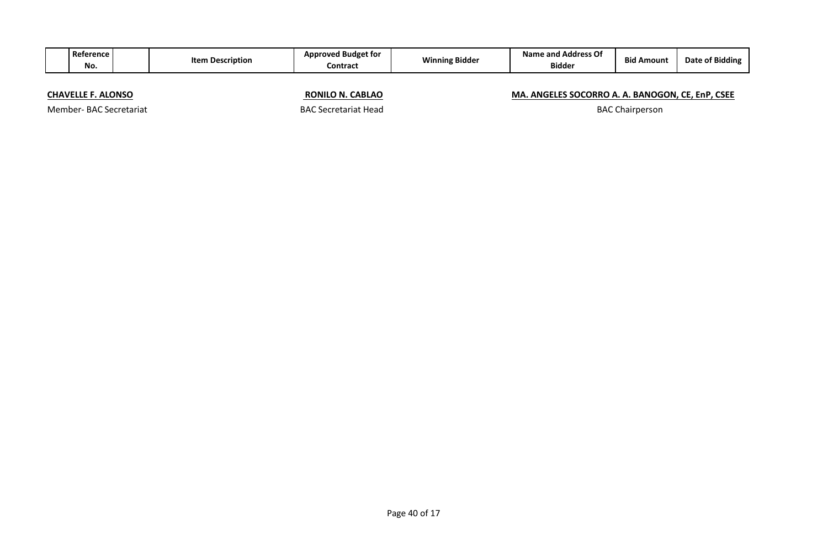| Reference I<br>No.        | <b>Item Description</b> |                             | <b>Approved Budget for</b><br><b>Winning Bidder</b><br><b>Contract</b> |                                                  | <b>Bid Amount</b> | Date of Bidding |
|---------------------------|-------------------------|-----------------------------|------------------------------------------------------------------------|--------------------------------------------------|-------------------|-----------------|
| <b>CHAVELLE F. ALONSO</b> |                         | <b>RONILO N. CABLAO</b>     |                                                                        | MA. ANGELES SOCORRO A. A. BANOGON, CE, EnP, CSEE |                   |                 |
| Member-BAC Secretariat    |                         | <b>BAC Secretariat Head</b> | <b>BAC Chairperson</b>                                                 |                                                  |                   |                 |